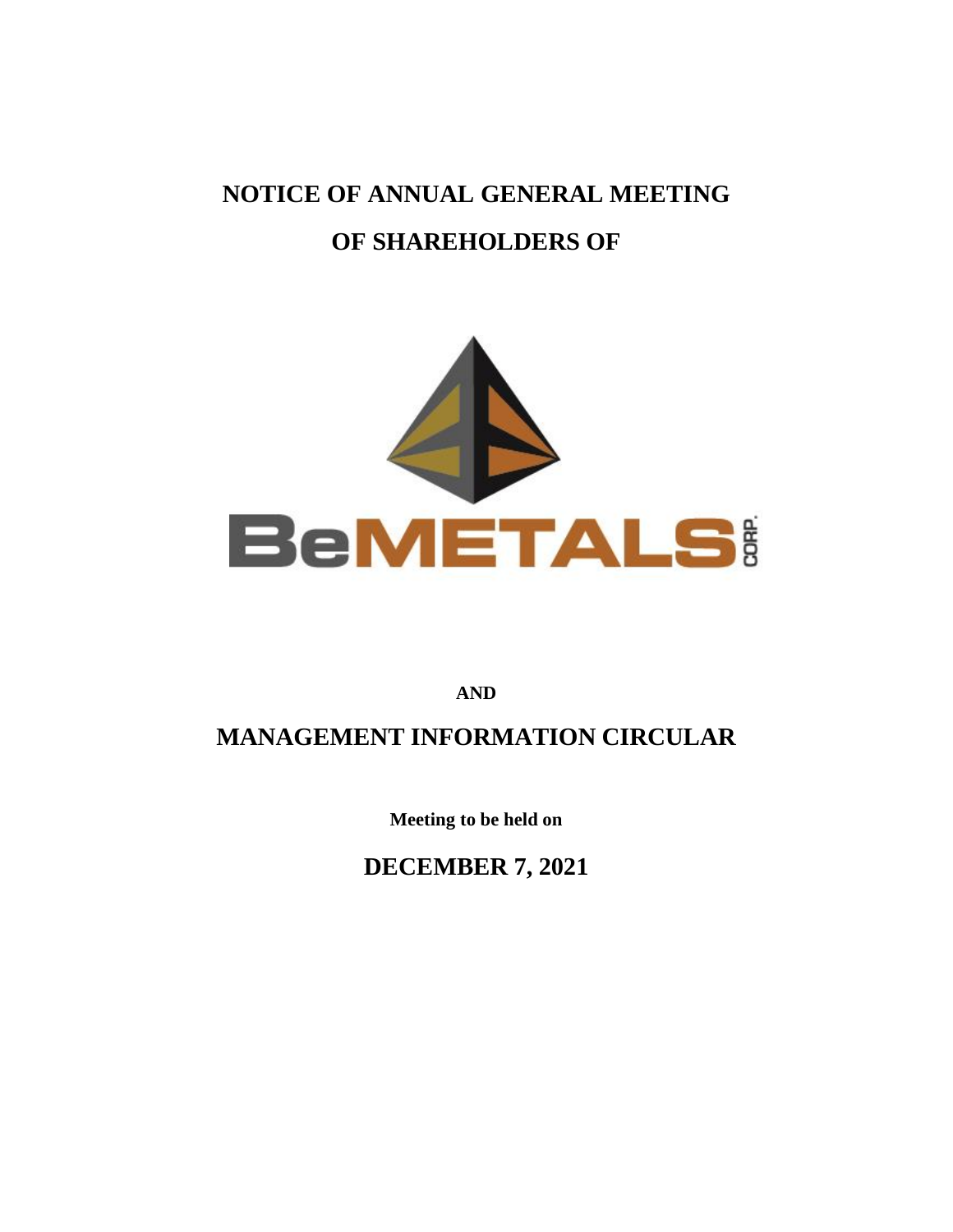## **NOTICE OF ANNUAL GENERAL MEETING OF SHAREHOLDERS OF**



**AND**

## **MANAGEMENT INFORMATION CIRCULAR**

**Meeting to be held on**

**DECEMBER 7, 2021**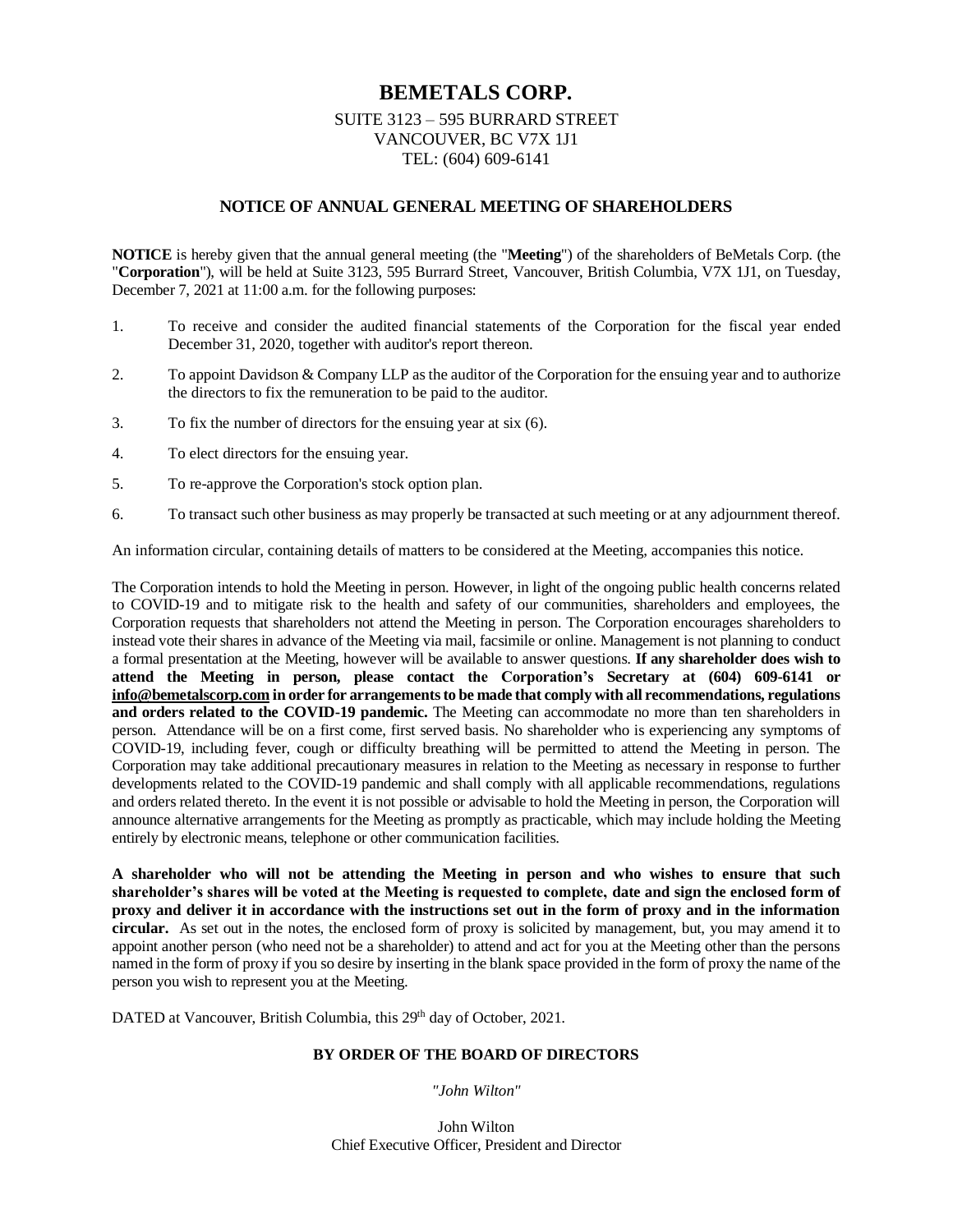## **BEMETALS CORP.**

## SUITE 3123 – 595 BURRARD STREET VANCOUVER, BC V7X 1J1 TEL: (604) 609-6141

## **NOTICE OF ANNUAL GENERAL MEETING OF SHAREHOLDERS**

**NOTICE** is hereby given that the annual general meeting (the "**Meeting**") of the shareholders of BeMetals Corp. (the "**Corporation**"), will be held at Suite 3123, 595 Burrard Street, Vancouver, British Columbia, V7X 1J1, on Tuesday, December 7, 2021 at 11:00 a.m. for the following purposes:

- 1. To receive and consider the audited financial statements of the Corporation for the fiscal year ended December 31, 2020, together with auditor's report thereon.
- 2. To appoint Davidson & Company LLP as the auditor of the Corporation for the ensuing year and to authorize the directors to fix the remuneration to be paid to the auditor.
- 3. To fix the number of directors for the ensuing year at six (6).
- 4. To elect directors for the ensuing year.
- 5. To re-approve the Corporation's stock option plan.
- 6. To transact such other business as may properly be transacted at such meeting or at any adjournment thereof.

An information circular, containing details of matters to be considered at the Meeting, accompanies this notice.

The Corporation intends to hold the Meeting in person. However, in light of the ongoing public health concerns related to COVID-19 and to mitigate risk to the health and safety of our communities, shareholders and employees, the Corporation requests that shareholders not attend the Meeting in person. The Corporation encourages shareholders to instead vote their shares in advance of the Meeting via mail, facsimile or online. Management is not planning to conduct a formal presentation at the Meeting, however will be available to answer questions. **If any shareholder does wish to attend the Meeting in person, please contact the Corporation's Secretary at (604) 609-6141 or [info@bemetalscorp.com](mailto:info@bemetalscorp.com) in order for arrangements to be made that comply with all recommendations, regulations and orders related to the COVID-19 pandemic.** The Meeting can accommodate no more than ten shareholders in person. Attendance will be on a first come, first served basis. No shareholder who is experiencing any symptoms of COVID-19, including fever, cough or difficulty breathing will be permitted to attend the Meeting in person. The Corporation may take additional precautionary measures in relation to the Meeting as necessary in response to further developments related to the COVID-19 pandemic and shall comply with all applicable recommendations, regulations and orders related thereto. In the event it is not possible or advisable to hold the Meeting in person, the Corporation will announce alternative arrangements for the Meeting as promptly as practicable, which may include holding the Meeting entirely by electronic means, telephone or other communication facilities.

**A shareholder who will not be attending the Meeting in person and who wishes to ensure that such shareholder's shares will be voted at the Meeting is requested to complete, date and sign the enclosed form of proxy and deliver it in accordance with the instructions set out in the form of proxy and in the information circular.** As set out in the notes, the enclosed form of proxy is solicited by management, but, you may amend it to appoint another person (who need not be a shareholder) to attend and act for you at the Meeting other than the persons named in the form of proxy if you so desire by inserting in the blank space provided in the form of proxy the name of the person you wish to represent you at the Meeting.

DATED at Vancouver, British Columbia, this 29<sup>th</sup> day of October, 2021.

## **BY ORDER OF THE BOARD OF DIRECTORS**

*"John Wilton"*

John Wilton Chief Executive Officer, President and Director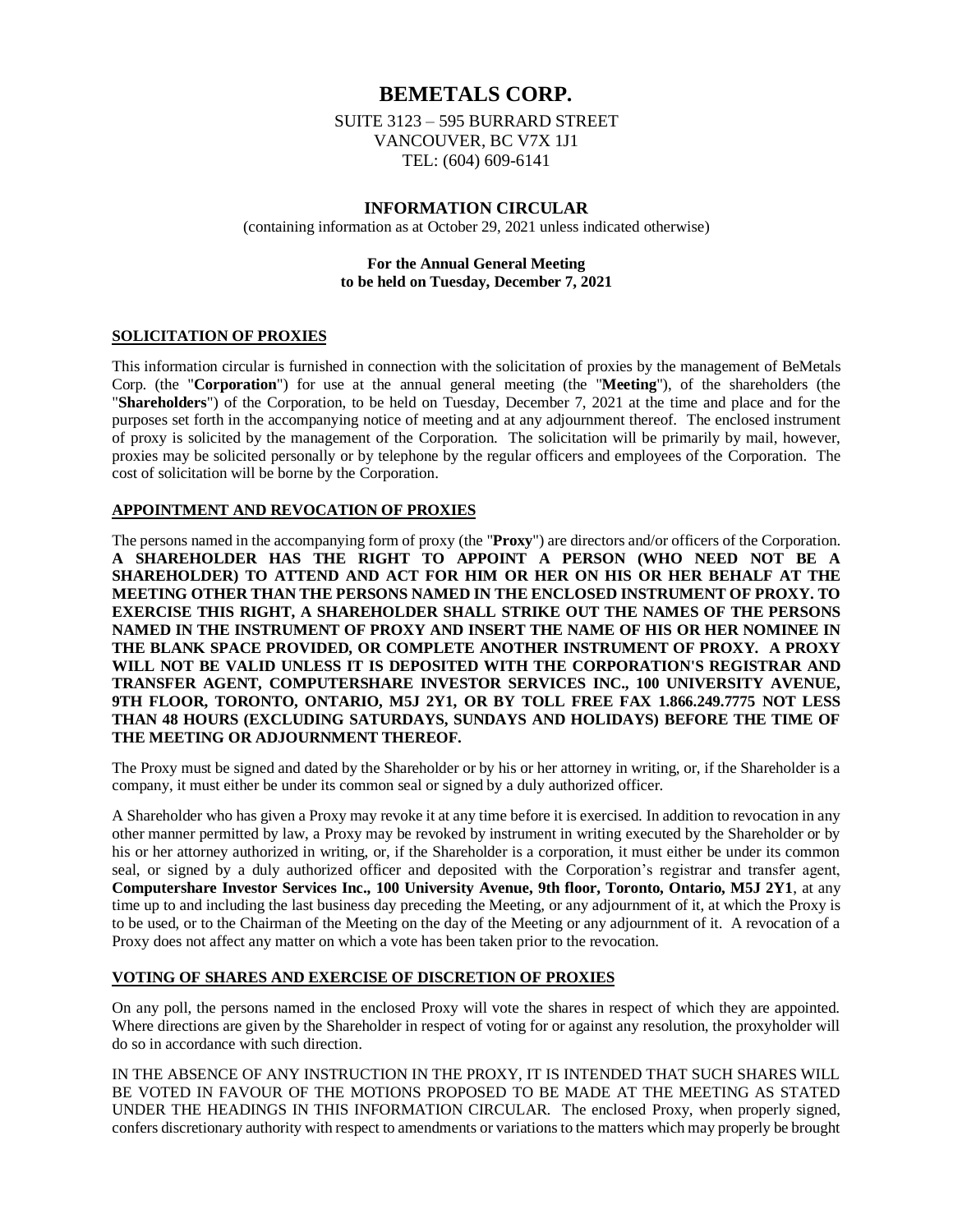## **BEMETALS CORP.**

SUITE 3123 – 595 BURRARD STREET VANCOUVER, BC V7X 1J1 TEL: (604) 609-6141

## **INFORMATION CIRCULAR**

(containing information as at October 29, 2021 unless indicated otherwise)

## **For the Annual General Meeting to be held on Tuesday, December 7, 2021**

## **SOLICITATION OF PROXIES**

This information circular is furnished in connection with the solicitation of proxies by the management of BeMetals Corp. (the "**Corporation**") for use at the annual general meeting (the "**Meeting**"), of the shareholders (the "**Shareholders**") of the Corporation, to be held on Tuesday, December 7, 2021 at the time and place and for the purposes set forth in the accompanying notice of meeting and at any adjournment thereof. The enclosed instrument of proxy is solicited by the management of the Corporation. The solicitation will be primarily by mail, however, proxies may be solicited personally or by telephone by the regular officers and employees of the Corporation. The cost of solicitation will be borne by the Corporation.

## **APPOINTMENT AND REVOCATION OF PROXIES**

The persons named in the accompanying form of proxy (the "**Proxy**") are directors and/or officers of the Corporation. **A SHAREHOLDER HAS THE RIGHT TO APPOINT A PERSON (WHO NEED NOT BE A SHAREHOLDER) TO ATTEND AND ACT FOR HIM OR HER ON HIS OR HER BEHALF AT THE MEETING OTHER THAN THE PERSONS NAMED IN THE ENCLOSED INSTRUMENT OF PROXY. TO EXERCISE THIS RIGHT, A SHAREHOLDER SHALL STRIKE OUT THE NAMES OF THE PERSONS NAMED IN THE INSTRUMENT OF PROXY AND INSERT THE NAME OF HIS OR HER NOMINEE IN THE BLANK SPACE PROVIDED, OR COMPLETE ANOTHER INSTRUMENT OF PROXY. A PROXY WILL NOT BE VALID UNLESS IT IS DEPOSITED WITH THE CORPORATION'S REGISTRAR AND TRANSFER AGENT, COMPUTERSHARE INVESTOR SERVICES INC., 100 UNIVERSITY AVENUE, 9TH FLOOR, TORONTO, ONTARIO, M5J 2Y1, OR BY TOLL FREE FAX 1.866.249.7775 NOT LESS THAN 48 HOURS (EXCLUDING SATURDAYS, SUNDAYS AND HOLIDAYS) BEFORE THE TIME OF THE MEETING OR ADJOURNMENT THEREOF.**

The Proxy must be signed and dated by the Shareholder or by his or her attorney in writing, or, if the Shareholder is a company, it must either be under its common seal or signed by a duly authorized officer.

A Shareholder who has given a Proxy may revoke it at any time before it is exercised. In addition to revocation in any other manner permitted by law, a Proxy may be revoked by instrument in writing executed by the Shareholder or by his or her attorney authorized in writing, or, if the Shareholder is a corporation, it must either be under its common seal, or signed by a duly authorized officer and deposited with the Corporation's registrar and transfer agent, **Computershare Investor Services Inc., 100 University Avenue, 9th floor, Toronto, Ontario, M5J 2Y1**, at any time up to and including the last business day preceding the Meeting, or any adjournment of it, at which the Proxy is to be used, or to the Chairman of the Meeting on the day of the Meeting or any adjournment of it. A revocation of a Proxy does not affect any matter on which a vote has been taken prior to the revocation.

## **VOTING OF SHARES AND EXERCISE OF DISCRETION OF PROXIES**

On any poll, the persons named in the enclosed Proxy will vote the shares in respect of which they are appointed. Where directions are given by the Shareholder in respect of voting for or against any resolution, the proxyholder will do so in accordance with such direction.

IN THE ABSENCE OF ANY INSTRUCTION IN THE PROXY, IT IS INTENDED THAT SUCH SHARES WILL BE VOTED IN FAVOUR OF THE MOTIONS PROPOSED TO BE MADE AT THE MEETING AS STATED UNDER THE HEADINGS IN THIS INFORMATION CIRCULAR. The enclosed Proxy, when properly signed, confers discretionary authority with respect to amendments or variations to the matters which may properly be brought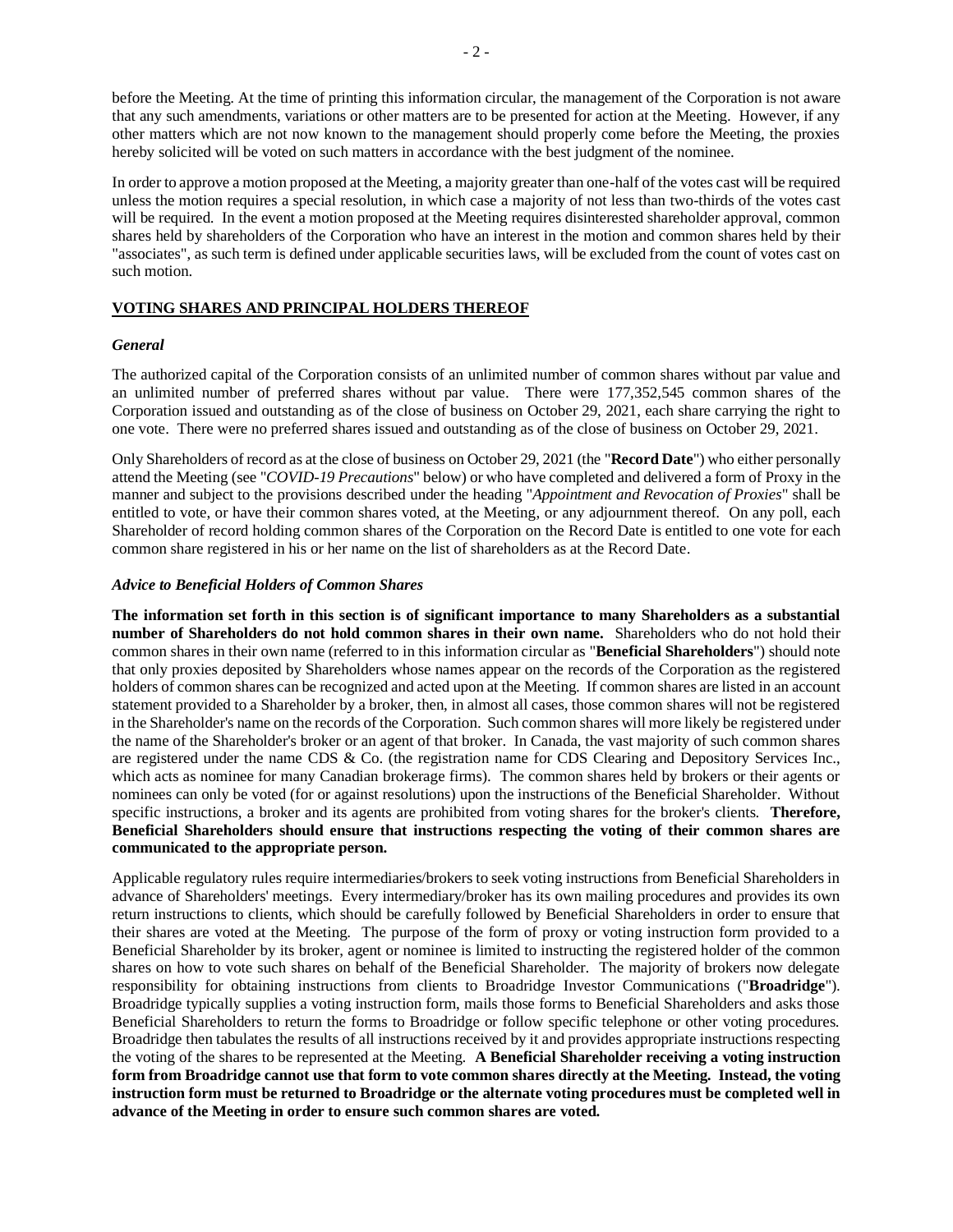before the Meeting. At the time of printing this information circular, the management of the Corporation is not aware that any such amendments, variations or other matters are to be presented for action at the Meeting. However, if any other matters which are not now known to the management should properly come before the Meeting, the proxies hereby solicited will be voted on such matters in accordance with the best judgment of the nominee.

In order to approve a motion proposed at the Meeting, a majority greater than one-half of the votes cast will be required unless the motion requires a special resolution, in which case a majority of not less than two-thirds of the votes cast will be required. In the event a motion proposed at the Meeting requires disinterested shareholder approval, common shares held by shareholders of the Corporation who have an interest in the motion and common shares held by their "associates", as such term is defined under applicable securities laws, will be excluded from the count of votes cast on such motion.

## **VOTING SHARES AND PRINCIPAL HOLDERS THEREOF**

#### *General*

The authorized capital of the Corporation consists of an unlimited number of common shares without par value and an unlimited number of preferred shares without par value. There were 177,352,545 common shares of the Corporation issued and outstanding as of the close of business on October 29, 2021, each share carrying the right to one vote. There were no preferred shares issued and outstanding as of the close of business on October 29, 2021.

Only Shareholders of record as at the close of business on October 29, 2021 (the "**Record Date**") who either personally attend the Meeting (see "*COVID-19 Precautions*" below) or who have completed and delivered a form of Proxy in the manner and subject to the provisions described under the heading "*Appointment and Revocation of Proxies*" shall be entitled to vote, or have their common shares voted, at the Meeting, or any adjournment thereof. On any poll, each Shareholder of record holding common shares of the Corporation on the Record Date is entitled to one vote for each common share registered in his or her name on the list of shareholders as at the Record Date.

#### *Advice to Beneficial Holders of Common Shares*

**The information set forth in this section is of significant importance to many Shareholders as a substantial number of Shareholders do not hold common shares in their own name.** Shareholders who do not hold their common shares in their own name (referred to in this information circular as "**Beneficial Shareholders**") should note that only proxies deposited by Shareholders whose names appear on the records of the Corporation as the registered holders of common shares can be recognized and acted upon at the Meeting. If common shares are listed in an account statement provided to a Shareholder by a broker, then, in almost all cases, those common shares will not be registered in the Shareholder's name on the records of the Corporation. Such common shares will more likely be registered under the name of the Shareholder's broker or an agent of that broker. In Canada, the vast majority of such common shares are registered under the name CDS & Co. (the registration name for CDS Clearing and Depository Services Inc., which acts as nominee for many Canadian brokerage firms). The common shares held by brokers or their agents or nominees can only be voted (for or against resolutions) upon the instructions of the Beneficial Shareholder. Without specific instructions, a broker and its agents are prohibited from voting shares for the broker's clients. **Therefore, Beneficial Shareholders should ensure that instructions respecting the voting of their common shares are communicated to the appropriate person.**

Applicable regulatory rules require intermediaries/brokers to seek voting instructions from Beneficial Shareholders in advance of Shareholders' meetings. Every intermediary/broker has its own mailing procedures and provides its own return instructions to clients, which should be carefully followed by Beneficial Shareholders in order to ensure that their shares are voted at the Meeting. The purpose of the form of proxy or voting instruction form provided to a Beneficial Shareholder by its broker, agent or nominee is limited to instructing the registered holder of the common shares on how to vote such shares on behalf of the Beneficial Shareholder. The majority of brokers now delegate responsibility for obtaining instructions from clients to Broadridge Investor Communications ("**Broadridge**"). Broadridge typically supplies a voting instruction form, mails those forms to Beneficial Shareholders and asks those Beneficial Shareholders to return the forms to Broadridge or follow specific telephone or other voting procedures. Broadridge then tabulates the results of all instructions received by it and provides appropriate instructions respecting the voting of the shares to be represented at the Meeting. **A Beneficial Shareholder receiving a voting instruction form from Broadridge cannot use that form to vote common shares directly at the Meeting. Instead, the voting instruction form must be returned to Broadridge or the alternate voting procedures must be completed well in advance of the Meeting in order to ensure such common shares are voted.**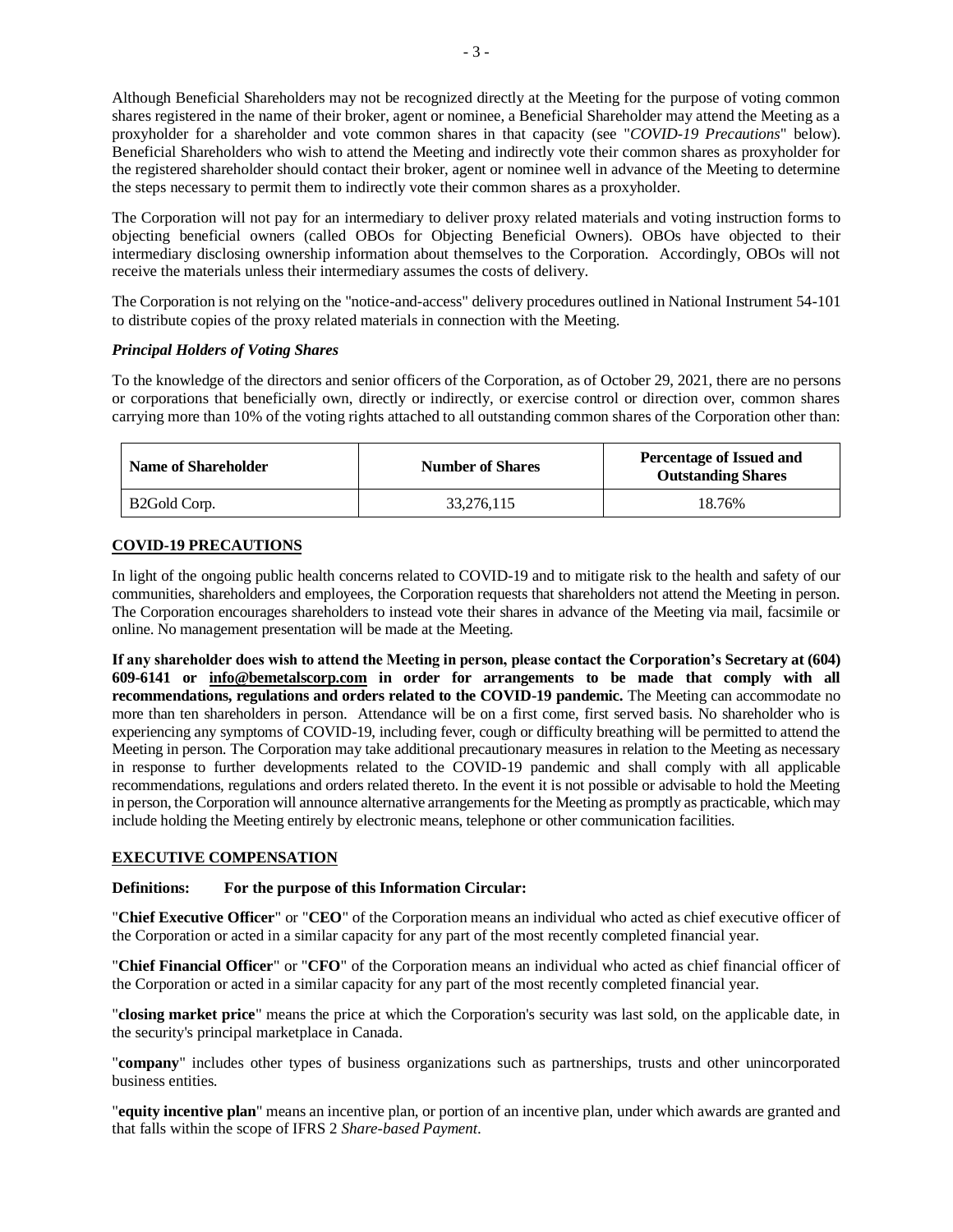Although Beneficial Shareholders may not be recognized directly at the Meeting for the purpose of voting common shares registered in the name of their broker, agent or nominee, a Beneficial Shareholder may attend the Meeting as a proxyholder for a shareholder and vote common shares in that capacity (see "*COVID-19 Precautions*" below). Beneficial Shareholders who wish to attend the Meeting and indirectly vote their common shares as proxyholder for the registered shareholder should contact their broker, agent or nominee well in advance of the Meeting to determine the steps necessary to permit them to indirectly vote their common shares as a proxyholder.

The Corporation will not pay for an intermediary to deliver proxy related materials and voting instruction forms to objecting beneficial owners (called OBOs for Objecting Beneficial Owners). OBOs have objected to their intermediary disclosing ownership information about themselves to the Corporation. Accordingly, OBOs will not receive the materials unless their intermediary assumes the costs of delivery.

The Corporation is not relying on the "notice-and-access" delivery procedures outlined in National Instrument 54-101 to distribute copies of the proxy related materials in connection with the Meeting.

## *Principal Holders of Voting Shares*

To the knowledge of the directors and senior officers of the Corporation, as of October 29, 2021, there are no persons or corporations that beneficially own, directly or indirectly, or exercise control or direction over, common shares carrying more than 10% of the voting rights attached to all outstanding common shares of the Corporation other than:

| <b>Name of Shareholder</b> | <b>Number of Shares</b> | <b>Percentage of Issued and</b><br><b>Outstanding Shares</b> |
|----------------------------|-------------------------|--------------------------------------------------------------|
| B <sub>2</sub> Gold Corp.  | 33.276.115              | 18.76%                                                       |

## **COVID-19 PRECAUTIONS**

In light of the ongoing public health concerns related to COVID-19 and to mitigate risk to the health and safety of our communities, shareholders and employees, the Corporation requests that shareholders not attend the Meeting in person. The Corporation encourages shareholders to instead vote their shares in advance of the Meeting via mail, facsimile or online. No management presentation will be made at the Meeting.

**If any shareholder does wish to attend the Meeting in person, please contact the Corporation's Secretary at (604) 609-6141 or [info@bemetalscorp.com](mailto:info@bemetalscorp.com) in order for arrangements to be made that comply with all recommendations, regulations and orders related to the COVID-19 pandemic.** The Meeting can accommodate no more than ten shareholders in person. Attendance will be on a first come, first served basis. No shareholder who is experiencing any symptoms of COVID-19, including fever, cough or difficulty breathing will be permitted to attend the Meeting in person. The Corporation may take additional precautionary measures in relation to the Meeting as necessary in response to further developments related to the COVID-19 pandemic and shall comply with all applicable recommendations, regulations and orders related thereto. In the event it is not possible or advisable to hold the Meeting in person, the Corporation will announce alternative arrangements for the Meeting as promptly as practicable, which may include holding the Meeting entirely by electronic means, telephone or other communication facilities.

## **EXECUTIVE COMPENSATION**

## **Definitions: For the purpose of this Information Circular:**

"**Chief Executive Officer**" or "**CEO**" of the Corporation means an individual who acted as chief executive officer of the Corporation or acted in a similar capacity for any part of the most recently completed financial year.

"**Chief Financial Officer**" or "**CFO**" of the Corporation means an individual who acted as chief financial officer of the Corporation or acted in a similar capacity for any part of the most recently completed financial year.

"**closing market price**" means the price at which the Corporation's security was last sold, on the applicable date, in the security's principal marketplace in Canada.

"**company**" includes other types of business organizations such as partnerships, trusts and other unincorporated business entities.

"**equity incentive plan**" means an incentive plan, or portion of an incentive plan, under which awards are granted and that falls within the scope of IFRS 2 *Share-based Payment*.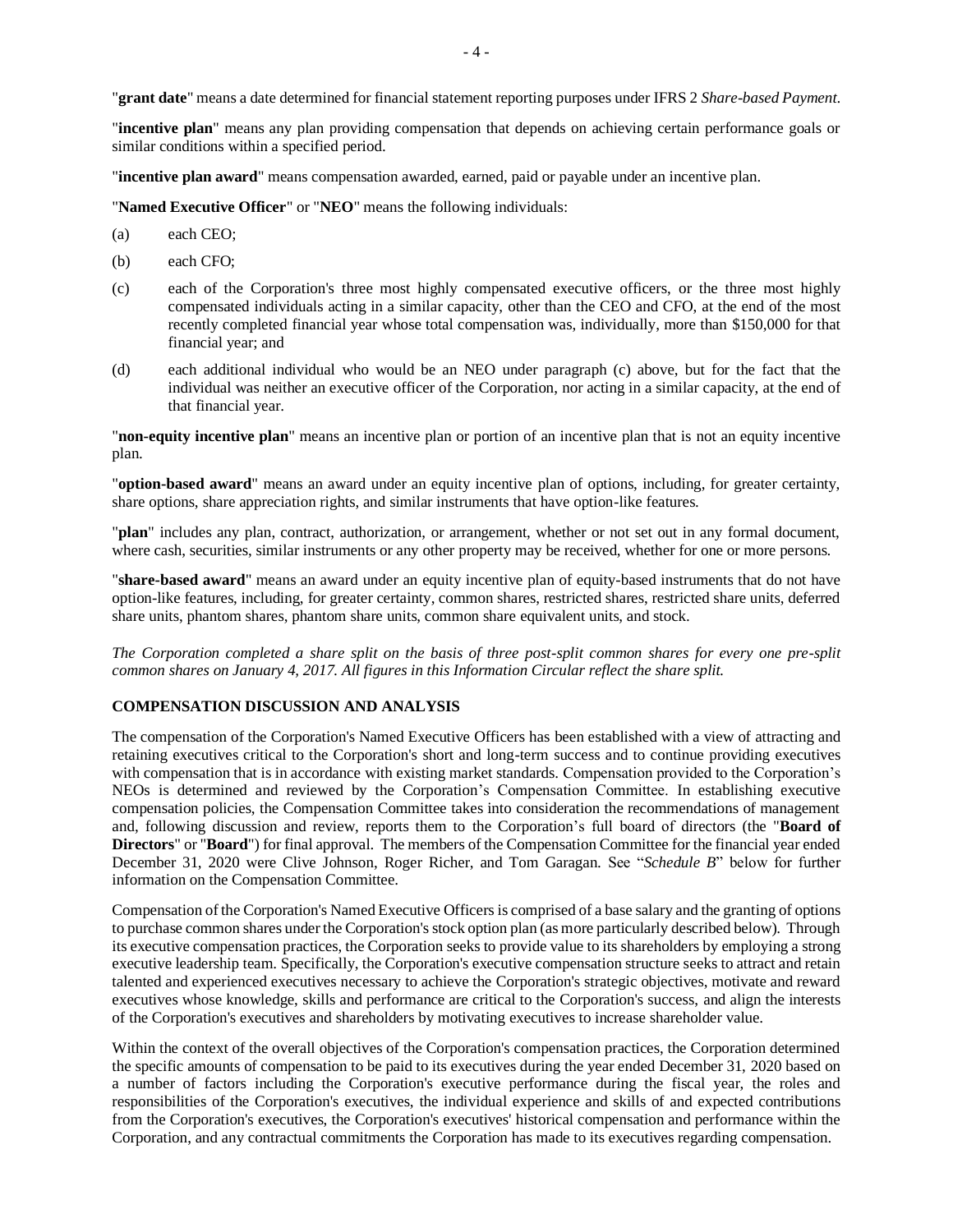"**grant date**" means a date determined for financial statement reporting purposes under IFRS 2 *Share-based Payment*.

"**incentive plan**" means any plan providing compensation that depends on achieving certain performance goals or similar conditions within a specified period.

"**incentive plan award**" means compensation awarded, earned, paid or payable under an incentive plan.

"**Named Executive Officer**" or "**NEO**" means the following individuals:

- (a) each CEO;
- (b) each CFO;
- (c) each of the Corporation's three most highly compensated executive officers, or the three most highly compensated individuals acting in a similar capacity, other than the CEO and CFO, at the end of the most recently completed financial year whose total compensation was, individually, more than \$150,000 for that financial year; and
- (d) each additional individual who would be an NEO under paragraph (c) above, but for the fact that the individual was neither an executive officer of the Corporation, nor acting in a similar capacity, at the end of that financial year.

"**non-equity incentive plan**" means an incentive plan or portion of an incentive plan that is not an equity incentive plan.

"**option-based award**" means an award under an equity incentive plan of options, including, for greater certainty, share options, share appreciation rights, and similar instruments that have option-like features.

"**plan**" includes any plan, contract, authorization, or arrangement, whether or not set out in any formal document, where cash, securities, similar instruments or any other property may be received, whether for one or more persons.

"**share-based award**" means an award under an equity incentive plan of equity-based instruments that do not have option-like features, including, for greater certainty, common shares, restricted shares, restricted share units, deferred share units, phantom shares, phantom share units, common share equivalent units, and stock.

*The Corporation completed a share split on the basis of three post-split common shares for every one pre-split common shares on January 4, 2017. All figures in this Information Circular reflect the share split.*

#### **COMPENSATION DISCUSSION AND ANALYSIS**

The compensation of the Corporation's Named Executive Officers has been established with a view of attracting and retaining executives critical to the Corporation's short and long-term success and to continue providing executives with compensation that is in accordance with existing market standards. Compensation provided to the Corporation's NEOs is determined and reviewed by the Corporation's Compensation Committee. In establishing executive compensation policies, the Compensation Committee takes into consideration the recommendations of management and, following discussion and review, reports them to the Corporation's full board of directors (the "**Board of Directors**" or "**Board**") for final approval. The members of the Compensation Committee for the financial year ended December 31, 2020 were Clive Johnson, Roger Richer, and Tom Garagan. See "*Schedule B*" below for further information on the Compensation Committee.

Compensation of the Corporation's Named Executive Officers is comprised of a base salary and the granting of options to purchase common shares under the Corporation's stock option plan (as more particularly described below). Through its executive compensation practices, the Corporation seeks to provide value to its shareholders by employing a strong executive leadership team. Specifically, the Corporation's executive compensation structure seeks to attract and retain talented and experienced executives necessary to achieve the Corporation's strategic objectives, motivate and reward executives whose knowledge, skills and performance are critical to the Corporation's success, and align the interests of the Corporation's executives and shareholders by motivating executives to increase shareholder value.

Within the context of the overall objectives of the Corporation's compensation practices, the Corporation determined the specific amounts of compensation to be paid to its executives during the year ended December 31, 2020 based on a number of factors including the Corporation's executive performance during the fiscal year, the roles and responsibilities of the Corporation's executives, the individual experience and skills of and expected contributions from the Corporation's executives, the Corporation's executives' historical compensation and performance within the Corporation, and any contractual commitments the Corporation has made to its executives regarding compensation.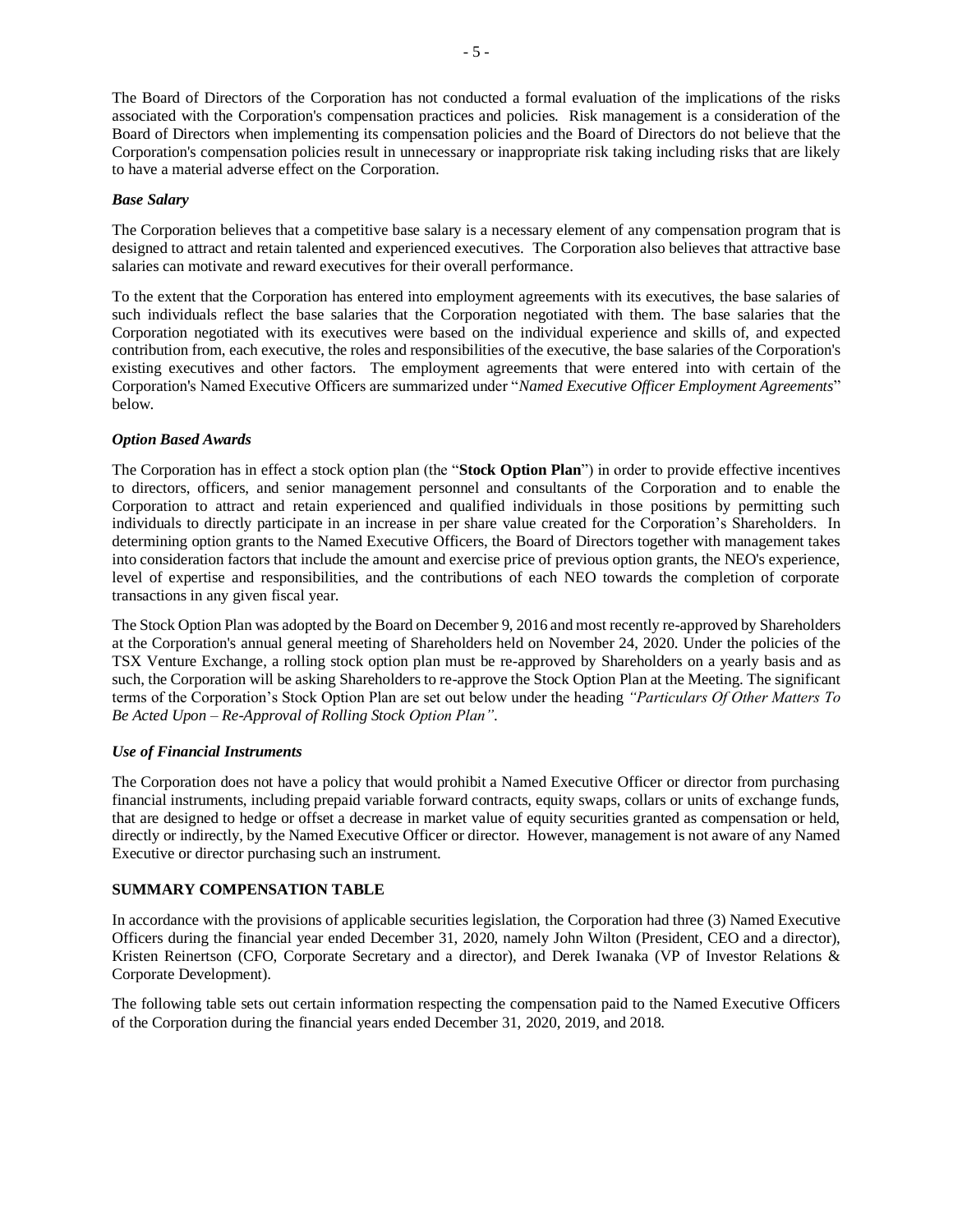The Board of Directors of the Corporation has not conducted a formal evaluation of the implications of the risks associated with the Corporation's compensation practices and policies. Risk management is a consideration of the Board of Directors when implementing its compensation policies and the Board of Directors do not believe that the Corporation's compensation policies result in unnecessary or inappropriate risk taking including risks that are likely to have a material adverse effect on the Corporation.

## *Base Salary*

The Corporation believes that a competitive base salary is a necessary element of any compensation program that is designed to attract and retain talented and experienced executives. The Corporation also believes that attractive base salaries can motivate and reward executives for their overall performance.

To the extent that the Corporation has entered into employment agreements with its executives, the base salaries of such individuals reflect the base salaries that the Corporation negotiated with them. The base salaries that the Corporation negotiated with its executives were based on the individual experience and skills of, and expected contribution from, each executive, the roles and responsibilities of the executive, the base salaries of the Corporation's existing executives and other factors. The employment agreements that were entered into with certain of the Corporation's Named Executive Officers are summarized under "*Named Executive Officer Employment Agreements*" below.

## *Option Based Awards*

The Corporation has in effect a stock option plan (the "**Stock Option Plan**") in order to provide effective incentives to directors, officers, and senior management personnel and consultants of the Corporation and to enable the Corporation to attract and retain experienced and qualified individuals in those positions by permitting such individuals to directly participate in an increase in per share value created for the Corporation's Shareholders. In determining option grants to the Named Executive Officers, the Board of Directors together with management takes into consideration factors that include the amount and exercise price of previous option grants, the NEO's experience, level of expertise and responsibilities, and the contributions of each NEO towards the completion of corporate transactions in any given fiscal year.

The Stock Option Plan was adopted by the Board on December 9, 2016 and most recently re-approved by Shareholders at the Corporation's annual general meeting of Shareholders held on November 24, 2020. Under the policies of the TSX Venture Exchange, a rolling stock option plan must be re-approved by Shareholders on a yearly basis and as such, the Corporation will be asking Shareholders to re-approve the Stock Option Plan at the Meeting. The significant terms of the Corporation's Stock Option Plan are set out below under the heading *"Particulars Of Other Matters To Be Acted Upon – Re-Approval of Rolling Stock Option Plan"*.

## *Use of Financial Instruments*

The Corporation does not have a policy that would prohibit a Named Executive Officer or director from purchasing financial instruments, including prepaid variable forward contracts, equity swaps, collars or units of exchange funds, that are designed to hedge or offset a decrease in market value of equity securities granted as compensation or held, directly or indirectly, by the Named Executive Officer or director. However, management is not aware of any Named Executive or director purchasing such an instrument.

## **SUMMARY COMPENSATION TABLE**

In accordance with the provisions of applicable securities legislation, the Corporation had three (3) Named Executive Officers during the financial year ended December 31, 2020, namely John Wilton (President, CEO and a director), Kristen Reinertson (CFO, Corporate Secretary and a director), and Derek Iwanaka (VP of Investor Relations & Corporate Development).

The following table sets out certain information respecting the compensation paid to the Named Executive Officers of the Corporation during the financial years ended December 31, 2020, 2019, and 2018.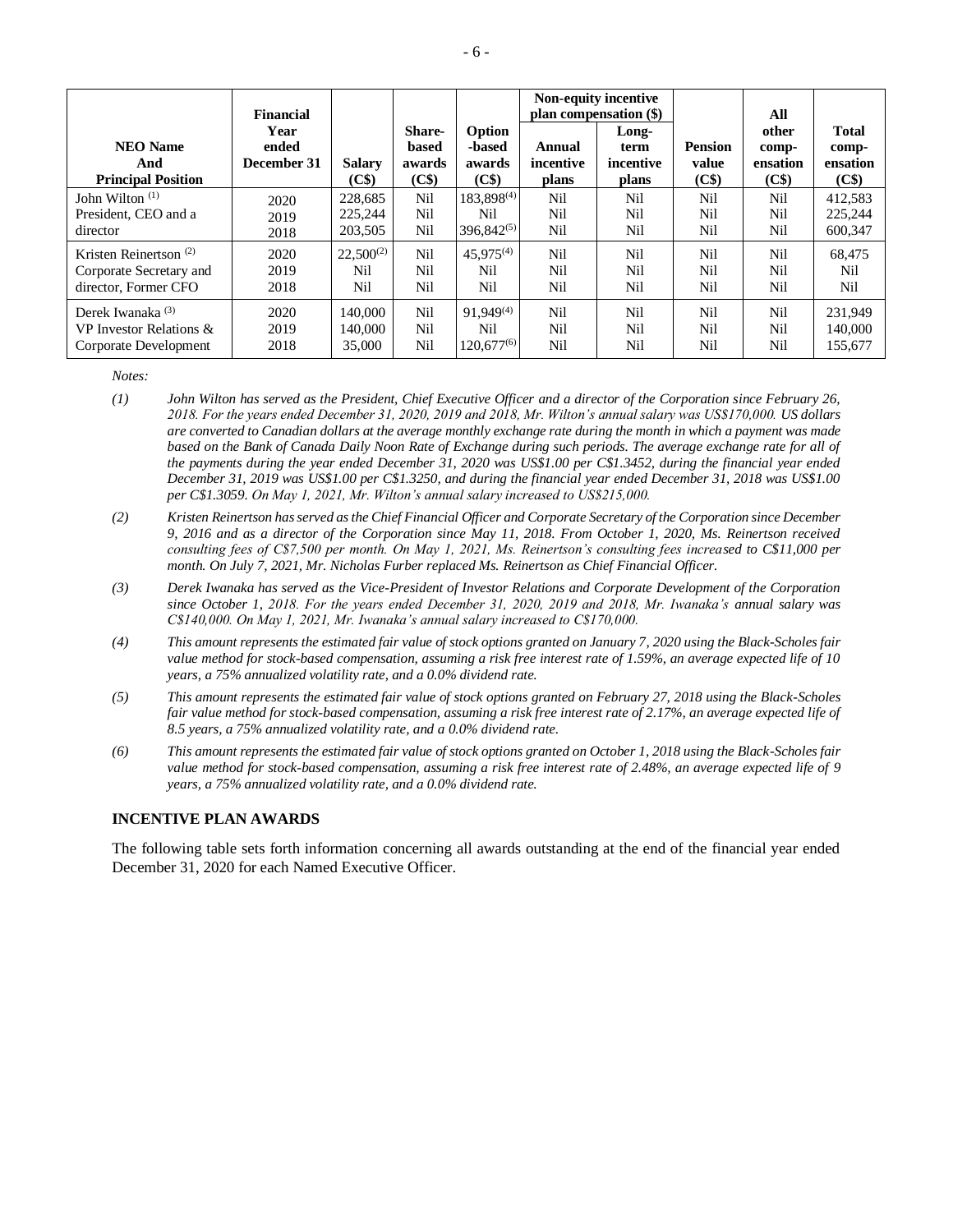| <b>NEO Name</b><br>And<br><b>Principal Position</b> | <b>Financial</b><br>Year<br>ended<br>December 31 | <b>Salary</b><br>(C\$) | <b>Share-</b><br>based<br>awards<br>(C\$) | Option<br>-based<br>awards<br>(C\$) | Annual<br>incentive<br>plans | Non-equity incentive<br>plan compensation (\$)<br>Long-<br>term<br>incentive<br>plans | <b>Pension</b><br>value<br>(C\$) | All<br>other<br>comp-<br>ensation<br>(C\$) | <b>Total</b><br>comp-<br>ensation<br>(C\$) |
|-----------------------------------------------------|--------------------------------------------------|------------------------|-------------------------------------------|-------------------------------------|------------------------------|---------------------------------------------------------------------------------------|----------------------------------|--------------------------------------------|--------------------------------------------|
| John Wilton $(1)$                                   | 2020                                             | 228,685                | Nil                                       | 183,898 <sup>(4)</sup>              | Nil                          | Nil                                                                                   | Nil                              | Nil                                        | 412,583                                    |
| President, CEO and a                                | 2019                                             | 225,244                | Nil                                       | Nil                                 | Nil                          | Nil                                                                                   | Nil                              | Nil                                        | 225,244                                    |
| director                                            | 2018                                             | 203,505                | Nil                                       | $396,842^{(5)}$                     | Nil                          | Nil                                                                                   | Nil                              | Nil                                        | 600,347                                    |
| Kristen Reinertson $(2)$                            | 2020                                             | $22,500^{(2)}$         | Nil                                       | $45.975^{(4)}$                      | Nil                          | Nil                                                                                   | Nil                              | Nil                                        | 68,475                                     |
| Corporate Secretary and                             | 2019                                             | Nil                    | Nil                                       | Nil                                 | Nil                          | Nil                                                                                   | Nil                              | Nil                                        | Nil                                        |
| director. Former CFO                                | 2018                                             | Nil                    | Nil                                       | Nil                                 | Nil                          | Nil                                                                                   | Nil                              | Nil                                        | Nil                                        |
| Derek Iwanaka <sup>(3)</sup>                        | 2020                                             | 140,000                | Nil                                       | $91.949^{(4)}$                      | Nil                          | Nil                                                                                   | Nil                              | <b>Nil</b>                                 | 231,949                                    |
| VP Investor Relations &                             | 2019                                             | 140,000                | Nil                                       | Nil                                 | Nil                          | Nil                                                                                   | Nil                              | Nil                                        | 140,000                                    |
| Corporate Development                               | 2018                                             | 35,000                 | Nil                                       | $120.677^{(6)}$                     | Nil                          | <b>Nil</b>                                                                            | Nil                              | Nil                                        | 155,677                                    |

*Notes:*

- *(1) John Wilton has served as the President, Chief Executive Officer and a director of the Corporation since February 26, 2018. For the years ended December 31, 2020, 2019 and 2018, Mr. Wilton's annual salary was US\$170,000. US dollars are converted to Canadian dollars at the average monthly exchange rate during the month in which a payment was made based on the Bank of Canada Daily Noon Rate of Exchange during such periods. The average exchange rate for all of the payments during the year ended December 31, 2020 was US\$1.00 per C\$1.3452, during the financial year ended December 31, 2019 was US\$1.00 per C\$1.3250, and during the financial year ended December 31, 2018 was US\$1.00 per C\$1.3059. On May 1, 2021, Mr. Wilton's annual salary increased to US\$215,000.*
- *(2) Kristen Reinertson has served as the Chief Financial Officer and Corporate Secretary of the Corporation since December 9, 2016 and as a director of the Corporation since May 11, 2018. From October 1, 2020, Ms. Reinertson received consulting fees of C\$7,500 per month. On May 1, 2021, Ms. Reinertson's consulting fees increased to C\$11,000 per month. On July 7, 2021, Mr. Nicholas Furber replaced Ms. Reinertson as Chief Financial Officer.*
- *(3) Derek Iwanaka has served as the Vice-President of Investor Relations and Corporate Development of the Corporation since October 1, 2018. For the years ended December 31, 2020, 2019 and 2018, Mr. Iwanaka's annual salary was C\$140,000. On May 1, 2021, Mr. Iwanaka's annual salary increased to C\$170,000.*
- *(4) This amount represents the estimated fair value of stock options granted on January 7, 2020 using the Black-Scholes fair value method for stock-based compensation, assuming a risk free interest rate of 1.59%, an average expected life of 10 years, a 75% annualized volatility rate, and a 0.0% dividend rate.*
- *(5) This amount represents the estimated fair value of stock options granted on February 27, 2018 using the Black-Scholes fair value method for stock-based compensation, assuming a risk free interest rate of 2.17%, an average expected life of 8.5 years, a 75% annualized volatility rate, and a 0.0% dividend rate.*
- *(6) This amount represents the estimated fair value of stock options granted on October 1, 2018 using the Black-Scholes fair value method for stock-based compensation, assuming a risk free interest rate of 2.48%, an average expected life of 9 years, a 75% annualized volatility rate, and a 0.0% dividend rate.*

## **INCENTIVE PLAN AWARDS**

The following table sets forth information concerning all awards outstanding at the end of the financial year ended December 31, 2020 for each Named Executive Officer.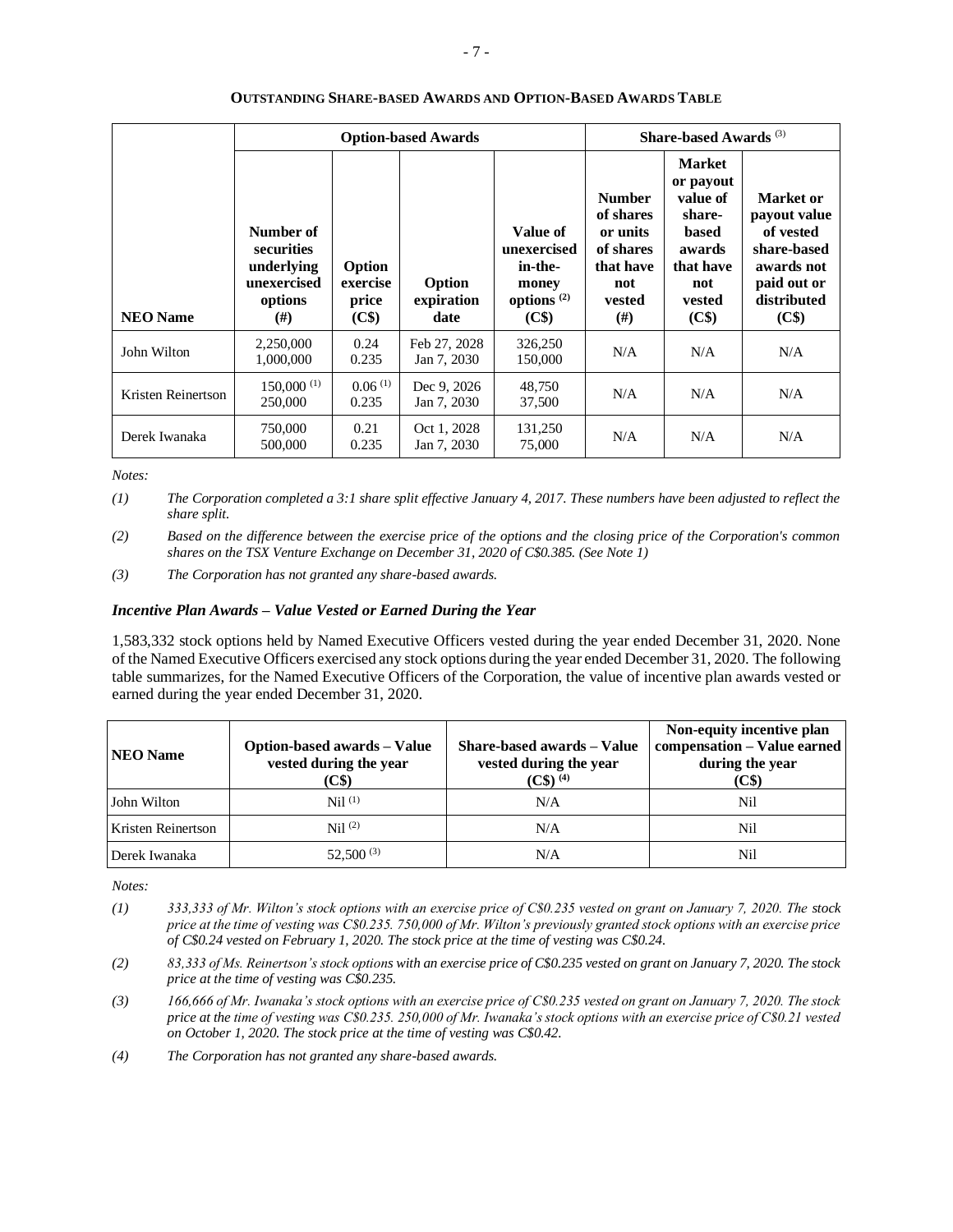|                    |                                                                        | <b>Option-based Awards</b>           |                              | Share-based Awards <sup>(3)</sup>                                     |                                                                                               |                                                                                                               |                                                                                                            |
|--------------------|------------------------------------------------------------------------|--------------------------------------|------------------------------|-----------------------------------------------------------------------|-----------------------------------------------------------------------------------------------|---------------------------------------------------------------------------------------------------------------|------------------------------------------------------------------------------------------------------------|
| <b>NEO Name</b>    | Number of<br>securities<br>underlying<br>unexercised<br>options<br>(#) | Option<br>exercise<br>price<br>(C\$) | Option<br>expiration<br>date | Value of<br>unexercised<br>in-the-<br>money<br>options $(2)$<br>(C\$) | <b>Number</b><br>of shares<br>or units<br>of shares<br>that have<br>not<br>vested<br>$^{(#)}$ | <b>Market</b><br>or payout<br>value of<br>share-<br>based<br>awards<br>that have<br>not<br>vested<br>$(C$ \$) | Market or<br>payout value<br>of vested<br>share-based<br>awards not<br>paid out or<br>distributed<br>(C\$) |
| John Wilton        | 2,250,000<br>1,000,000                                                 | 0.24<br>0.235                        | Feb 27, 2028<br>Jan 7, 2030  | 326,250<br>150,000                                                    | N/A                                                                                           | N/A                                                                                                           | N/A                                                                                                        |
| Kristen Reinertson | $150,000$ <sup>(1)</sup><br>250,000                                    | 0.06(1)<br>0.235                     | Dec 9, 2026<br>Jan 7, 2030   | 48,750<br>37,500                                                      | N/A                                                                                           | N/A                                                                                                           | N/A                                                                                                        |
| Derek Iwanaka      | 750,000<br>500,000                                                     | 0.21<br>0.235                        | Oct 1, 2028<br>Jan 7, 2030   | 131,250<br>75,000                                                     | N/A                                                                                           | N/A                                                                                                           | N/A                                                                                                        |

## **OUTSTANDING SHARE-BASED AWARDS AND OPTION-BASED AWARDS TABLE**

*Notes:*

*(1) The Corporation completed a 3:1 share split effective January 4, 2017. These numbers have been adjusted to reflect the share split.*

*(2) Based on the difference between the exercise price of the options and the closing price of the Corporation's common shares on the TSX Venture Exchange on December 31, 2020 of C\$0.385. (See Note 1)*

*(3) The Corporation has not granted any share-based awards.*

## *Incentive Plan Awards – Value Vested or Earned During the Year*

1,583,332 stock options held by Named Executive Officers vested during the year ended December 31, 2020. None of the Named Executive Officers exercised any stock options during the year ended December 31, 2020. The following table summarizes, for the Named Executive Officers of the Corporation, the value of incentive plan awards vested or earned during the year ended December 31, 2020.

| <b>NEO Name</b>    | <b>Option-based awards – Value</b><br>vested during the year<br>(C\$) | Share-based awards – Value<br>vested during the year<br>$(C\$ (4) | Non-equity incentive plan<br>compensation - Value earned<br>during the year<br>(C\$) |
|--------------------|-----------------------------------------------------------------------|-------------------------------------------------------------------|--------------------------------------------------------------------------------------|
| John Wilton        | Nil <sup>(1)</sup>                                                    | N/A                                                               | Nil                                                                                  |
| Kristen Reinertson | Nil <sup>(2)</sup>                                                    | N/A                                                               | Nil                                                                                  |
| Derek Iwanaka      | $52,500^{(3)}$                                                        | N/A                                                               | Nil                                                                                  |

*Notes:*

- *(1) 333,333 of Mr. Wilton's stock options with an exercise price of C\$0.235 vested on grant on January 7, 2020. The stock price at the time of vesting was C\$0.235. 750,000 of Mr. Wilton's previously granted stock options with an exercise price of C\$0.24 vested on February 1, 2020. The stock price at the time of vesting was C\$0.24.*
- *(2) 83,333 of Ms. Reinertson's stock options with an exercise price of C\$0.235 vested on grant on January 7, 2020. The stock price at the time of vesting was C\$0.235.*
- *(3) 166,666 of Mr. Iwanaka's stock options with an exercise price of C\$0.235 vested on grant on January 7, 2020. The stock price at the time of vesting was C\$0.235. 250,000 of Mr. Iwanaka's stock options with an exercise price of C\$0.21 vested on October 1, 2020. The stock price at the time of vesting was C\$0.42.*

*(4) The Corporation has not granted any share-based awards.*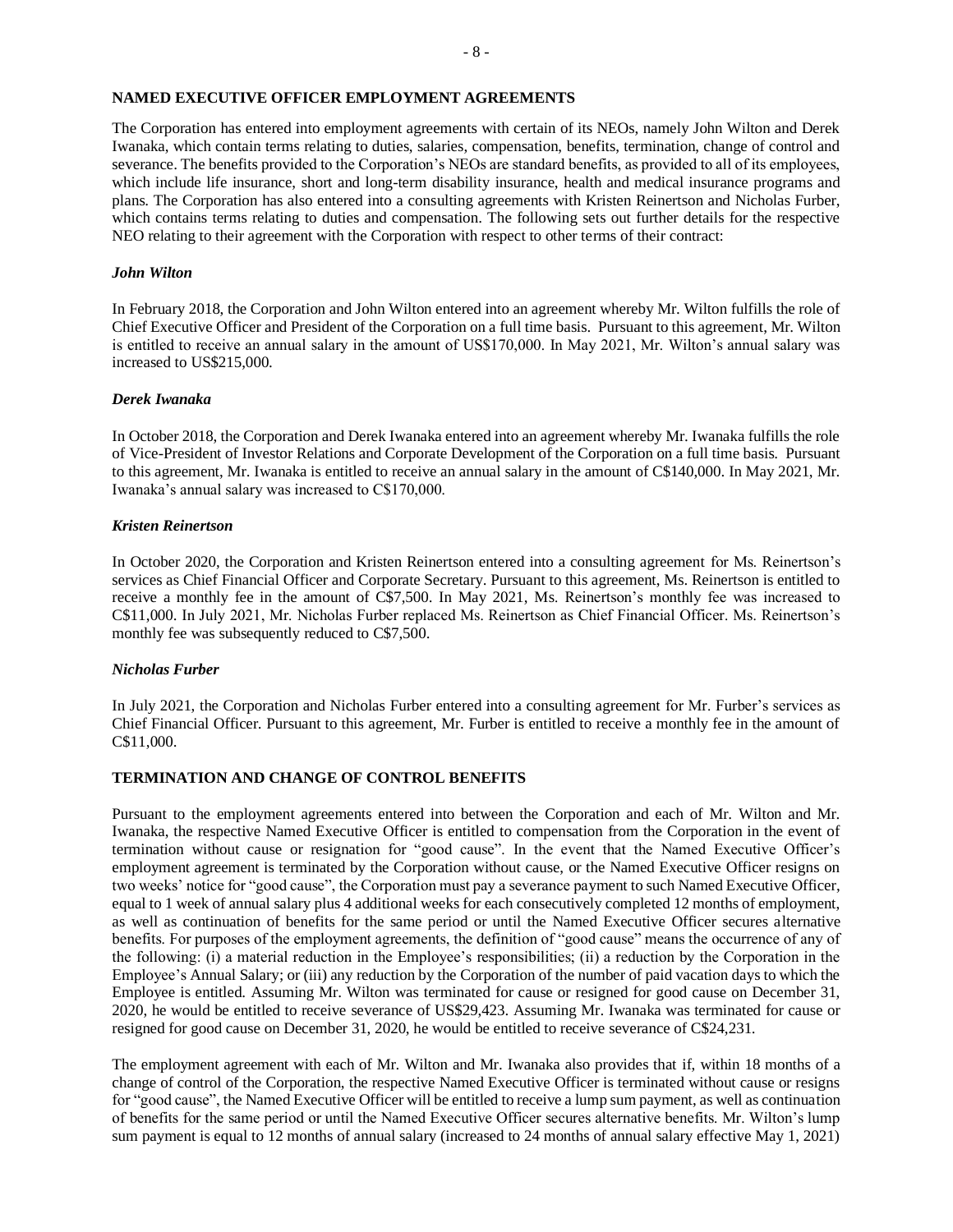## **NAMED EXECUTIVE OFFICER EMPLOYMENT AGREEMENTS**

The Corporation has entered into employment agreements with certain of its NEOs, namely John Wilton and Derek Iwanaka, which contain terms relating to duties, salaries, compensation, benefits, termination, change of control and severance. The benefits provided to the Corporation's NEOs are standard benefits, as provided to all of its employees, which include life insurance, short and long-term disability insurance, health and medical insurance programs and plans. The Corporation has also entered into a consulting agreements with Kristen Reinertson and Nicholas Furber, which contains terms relating to duties and compensation. The following sets out further details for the respective NEO relating to their agreement with the Corporation with respect to other terms of their contract:

#### *John Wilton*

In February 2018, the Corporation and John Wilton entered into an agreement whereby Mr. Wilton fulfills the role of Chief Executive Officer and President of the Corporation on a full time basis. Pursuant to this agreement, Mr. Wilton is entitled to receive an annual salary in the amount of US\$170,000. In May 2021, Mr. Wilton's annual salary was increased to US\$215,000.

#### *Derek Iwanaka*

In October 2018, the Corporation and Derek Iwanaka entered into an agreement whereby Mr. Iwanaka fulfills the role of Vice-President of Investor Relations and Corporate Development of the Corporation on a full time basis. Pursuant to this agreement, Mr. Iwanaka is entitled to receive an annual salary in the amount of C\$140,000. In May 2021, Mr. Iwanaka's annual salary was increased to C\$170,000.

#### *Kristen Reinertson*

In October 2020, the Corporation and Kristen Reinertson entered into a consulting agreement for Ms. Reinertson's services as Chief Financial Officer and Corporate Secretary. Pursuant to this agreement, Ms. Reinertson is entitled to receive a monthly fee in the amount of C\$7,500. In May 2021, Ms. Reinertson's monthly fee was increased to C\$11,000. In July 2021, Mr. Nicholas Furber replaced Ms. Reinertson as Chief Financial Officer. Ms. Reinertson's monthly fee was subsequently reduced to C\$7,500.

## *Nicholas Furber*

In July 2021, the Corporation and Nicholas Furber entered into a consulting agreement for Mr. Furber's services as Chief Financial Officer. Pursuant to this agreement, Mr. Furber is entitled to receive a monthly fee in the amount of C\$11,000.

## **TERMINATION AND CHANGE OF CONTROL BENEFITS**

Pursuant to the employment agreements entered into between the Corporation and each of Mr. Wilton and Mr. Iwanaka, the respective Named Executive Officer is entitled to compensation from the Corporation in the event of termination without cause or resignation for "good cause". In the event that the Named Executive Officer's employment agreement is terminated by the Corporation without cause, or the Named Executive Officer resigns on two weeks' notice for "good cause", the Corporation must pay a severance payment to such Named Executive Officer, equal to 1 week of annual salary plus 4 additional weeks for each consecutively completed 12 months of employment, as well as continuation of benefits for the same period or until the Named Executive Officer secures alternative benefits. For purposes of the employment agreements, the definition of "good cause" means the occurrence of any of the following: (i) a material reduction in the Employee's responsibilities; (ii) a reduction by the Corporation in the Employee's Annual Salary; or (iii) any reduction by the Corporation of the number of paid vacation days to which the Employee is entitled. Assuming Mr. Wilton was terminated for cause or resigned for good cause on December 31, 2020, he would be entitled to receive severance of US\$29,423. Assuming Mr. Iwanaka was terminated for cause or resigned for good cause on December 31, 2020, he would be entitled to receive severance of C\$24,231.

The employment agreement with each of Mr. Wilton and Mr. Iwanaka also provides that if, within 18 months of a change of control of the Corporation, the respective Named Executive Officer is terminated without cause or resigns for "good cause", the Named Executive Officer will be entitled to receive a lump sum payment, as well as continuation of benefits for the same period or until the Named Executive Officer secures alternative benefits. Mr. Wilton's lump sum payment is equal to 12 months of annual salary (increased to 24 months of annual salary effective May 1, 2021)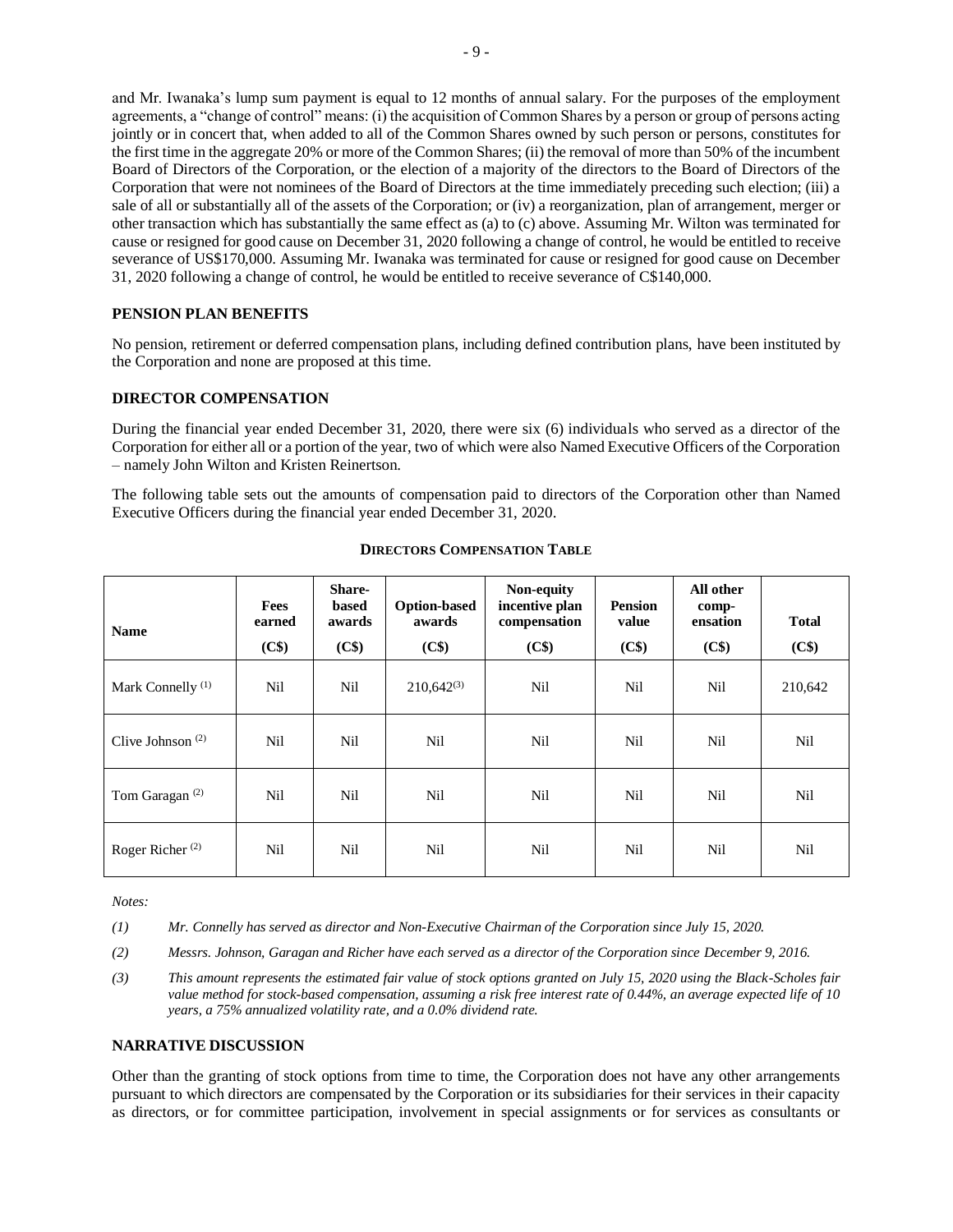and Mr. Iwanaka's lump sum payment is equal to 12 months of annual salary. For the purposes of the employment agreements, a "change of control" means: (i) the acquisition of Common Shares by a person or group of persons acting jointly or in concert that, when added to all of the Common Shares owned by such person or persons, constitutes for the first time in the aggregate 20% or more of the Common Shares; (ii) the removal of more than 50% of the incumbent Board of Directors of the Corporation, or the election of a majority of the directors to the Board of Directors of the Corporation that were not nominees of the Board of Directors at the time immediately preceding such election; (iii) a sale of all or substantially all of the assets of the Corporation; or (iv) a reorganization, plan of arrangement, merger or other transaction which has substantially the same effect as (a) to (c) above. Assuming Mr. Wilton was terminated for cause or resigned for good cause on December 31, 2020 following a change of control, he would be entitled to receive severance of US\$170,000. Assuming Mr. Iwanaka was terminated for cause or resigned for good cause on December 31, 2020 following a change of control, he would be entitled to receive severance of C\$140,000.

## **PENSION PLAN BENEFITS**

No pension, retirement or deferred compensation plans, including defined contribution plans, have been instituted by the Corporation and none are proposed at this time.

## **DIRECTOR COMPENSATION**

During the financial year ended December 31, 2020, there were six (6) individuals who served as a director of the Corporation for either all or a portion of the year, two of which were also Named Executive Officers of the Corporation – namely John Wilton and Kristen Reinertson.

The following table sets out the amounts of compensation paid to directors of the Corporation other than Named Executive Officers during the financial year ended December 31, 2020.

| <b>Name</b>                               | Fees<br>earned | <b>Share-</b><br>based<br>awards | <b>Option-based</b><br>awards | Non-equity<br>incentive plan<br>compensation | <b>Pension</b><br>value | All other<br>comp-<br>ensation | <b>Total</b> |
|-------------------------------------------|----------------|----------------------------------|-------------------------------|----------------------------------------------|-------------------------|--------------------------------|--------------|
|                                           | (C\$)          | (C\$)                            | (C\$)                         | (C\$)                                        | (C\$)                   | (C\$)                          | (C\$)        |
| Mark Connelly <sup>(1)</sup>              | Nil            | <b>Nil</b>                       | $210,642^{(3)}$               | Nil                                          | Nil                     | Nil                            | 210,642      |
| Clive Johnson <sup><math>(2)</math></sup> | Nil            | Nil                              | Nil                           | Nil                                          | Nil                     | Nil                            | Nil          |
| Tom Garagan <sup>(2)</sup>                | Nil            | Nil                              | Nil                           | Nil                                          | Nil                     | Nil                            | Nil          |
| Roger Richer <sup>(2)</sup>               | Nil            | <b>Nil</b>                       | Nil                           | Nil                                          | Nil                     | Nil                            | Nil          |

#### **DIRECTORS COMPENSATION TABLE**

*Notes:*

*(1) Mr. Connelly has served as director and Non-Executive Chairman of the Corporation since July 15, 2020.*

- *(2) Messrs. Johnson, Garagan and Richer have each served as a director of the Corporation since December 9, 2016.*
- *(3) This amount represents the estimated fair value of stock options granted on July 15, 2020 using the Black-Scholes fair value method for stock-based compensation, assuming a risk free interest rate of 0.44%, an average expected life of 10 years, a 75% annualized volatility rate, and a 0.0% dividend rate.*

#### **NARRATIVE DISCUSSION**

Other than the granting of stock options from time to time, the Corporation does not have any other arrangements pursuant to which directors are compensated by the Corporation or its subsidiaries for their services in their capacity as directors, or for committee participation, involvement in special assignments or for services as consultants or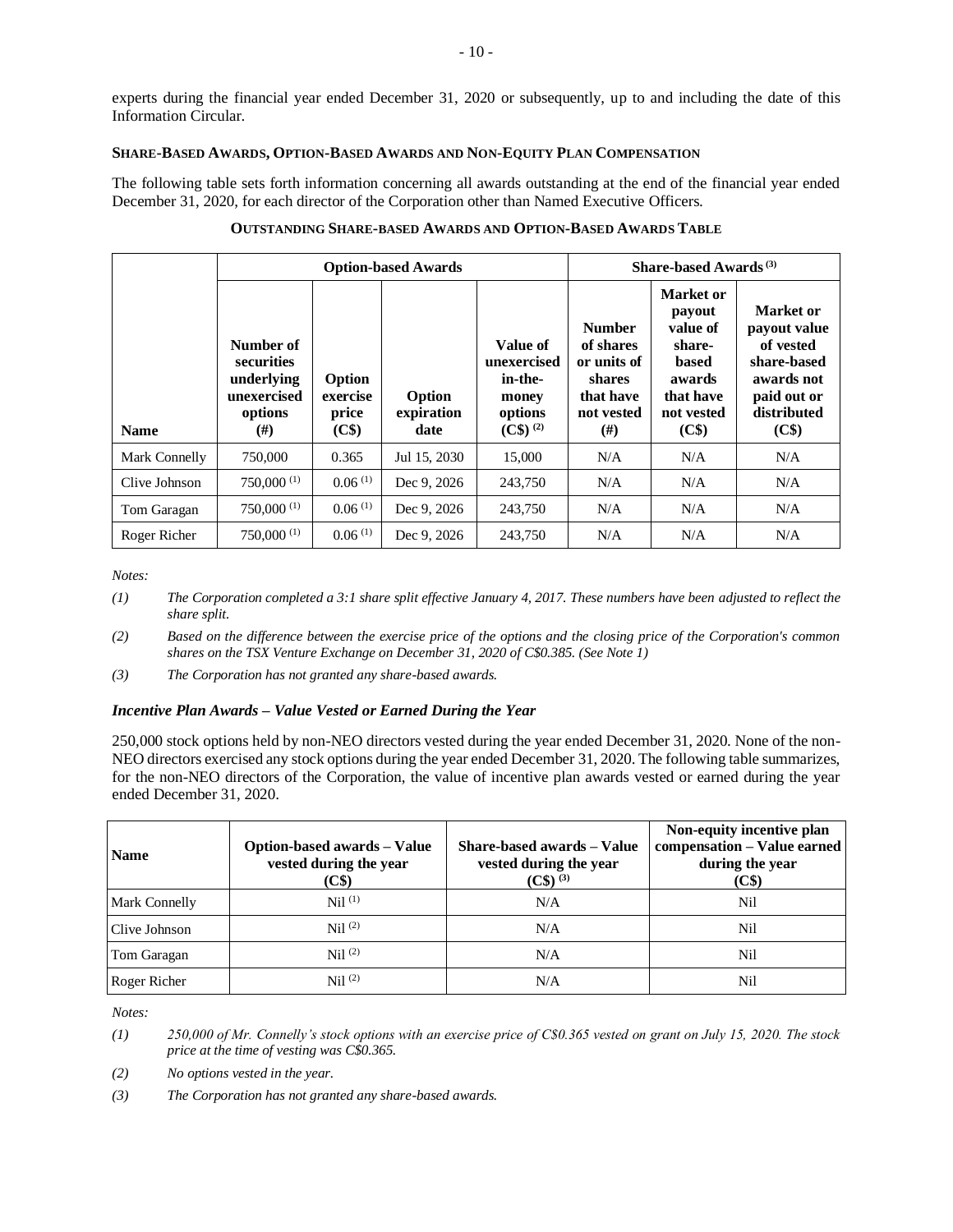experts during the financial year ended December 31, 2020 or subsequently, up to and including the date of this Information Circular.

## **SHARE-BASED AWARDS, OPTION-BASED AWARDS AND NON-EQUITY PLAN COMPENSATION**

The following table sets forth information concerning all awards outstanding at the end of the financial year ended December 31, 2020, for each director of the Corporation other than Named Executive Officers.

|               |                                                                             |                                                  | <b>Option-based Awards</b>   |                                                                        | Share-based Awards <sup>(3)</sup>                                                          |                                                                                                  |                                                                                                            |
|---------------|-----------------------------------------------------------------------------|--------------------------------------------------|------------------------------|------------------------------------------------------------------------|--------------------------------------------------------------------------------------------|--------------------------------------------------------------------------------------------------|------------------------------------------------------------------------------------------------------------|
| <b>Name</b>   | Number of<br>securities<br>underlying<br>unexercised<br>options<br>$^{(#)}$ | Option<br>exercise<br>price<br>(C <sub>3</sub> ) | Option<br>expiration<br>date | Value of<br>unexercised<br>in-the-<br>money<br>options<br>$(C$)^{(2)}$ | <b>Number</b><br>of shares<br>or units of<br>shares<br>that have<br>not vested<br>$^{(#)}$ | Market or<br>payout<br>value of<br>share-<br>based<br>awards<br>that have<br>not vested<br>$(C\$ | Market or<br>payout value<br>of vested<br>share-based<br>awards not<br>paid out or<br>distributed<br>(C\$) |
| Mark Connelly | 750,000                                                                     | 0.365                                            | Jul 15, 2030                 | 15,000                                                                 | N/A                                                                                        | N/A                                                                                              | N/A                                                                                                        |
| Clive Johnson | $750,000^{(1)}$                                                             | 0.06(1)                                          | Dec 9, 2026                  | 243,750                                                                | N/A                                                                                        | N/A                                                                                              | N/A                                                                                                        |
| Tom Garagan   | 750,000(1)                                                                  | 0.06(1)                                          | Dec 9, 2026                  | 243,750                                                                | N/A                                                                                        | N/A                                                                                              | N/A                                                                                                        |
| Roger Richer  | 750,000 <sup>(1)</sup>                                                      | 0.06(1)                                          | Dec 9, 2026                  | 243,750                                                                | N/A                                                                                        | N/A                                                                                              | N/A                                                                                                        |

## **OUTSTANDING SHARE-BASED AWARDS AND OPTION-BASED AWARDS TABLE**

*Notes:*

- *(1) The Corporation completed a 3:1 share split effective January 4, 2017. These numbers have been adjusted to reflect the share split.*
- *(2) Based on the difference between the exercise price of the options and the closing price of the Corporation's common shares on the TSX Venture Exchange on December 31, 2020 of C\$0.385. (See Note 1)*
- *(3) The Corporation has not granted any share-based awards.*

## *Incentive Plan Awards – Value Vested or Earned During the Year*

250,000 stock options held by non-NEO directors vested during the year ended December 31, 2020. None of the non-NEO directors exercised any stock options during the year ended December 31, 2020. The following table summarizes, for the non-NEO directors of the Corporation, the value of incentive plan awards vested or earned during the year ended December 31, 2020.

| <b>Name</b>          | <b>Option-based awards – Value</b><br>vested during the year<br>(C\$) | Share-based awards - Value<br>vested during the year<br>$(C\$ ) <sup>(3)</sup> | Non-equity incentive plan<br>compensation - Value earned<br>during the year<br>(C\$) |
|----------------------|-----------------------------------------------------------------------|--------------------------------------------------------------------------------|--------------------------------------------------------------------------------------|
| <b>Mark Connelly</b> | $Nil$ $(1)$                                                           | N/A                                                                            | Nil                                                                                  |
| Clive Johnson        | $\mathrm{Nil}^{(2)}$                                                  | N/A                                                                            | Nil                                                                                  |
| Tom Garagan          | Nil <sup>(2)</sup>                                                    | N/A                                                                            | Nil                                                                                  |
| Roger Richer         | $\mathrm{Nil}^{(2)}$                                                  | N/A                                                                            | Nil                                                                                  |

*Notes:*

- *(1) 250,000 of Mr. Connelly's stock options with an exercise price of C\$0.365 vested on grant on July 15, 2020. The stock price at the time of vesting was C\$0.365.*
- *(2) No options vested in the year.*
- *(3) The Corporation has not granted any share-based awards.*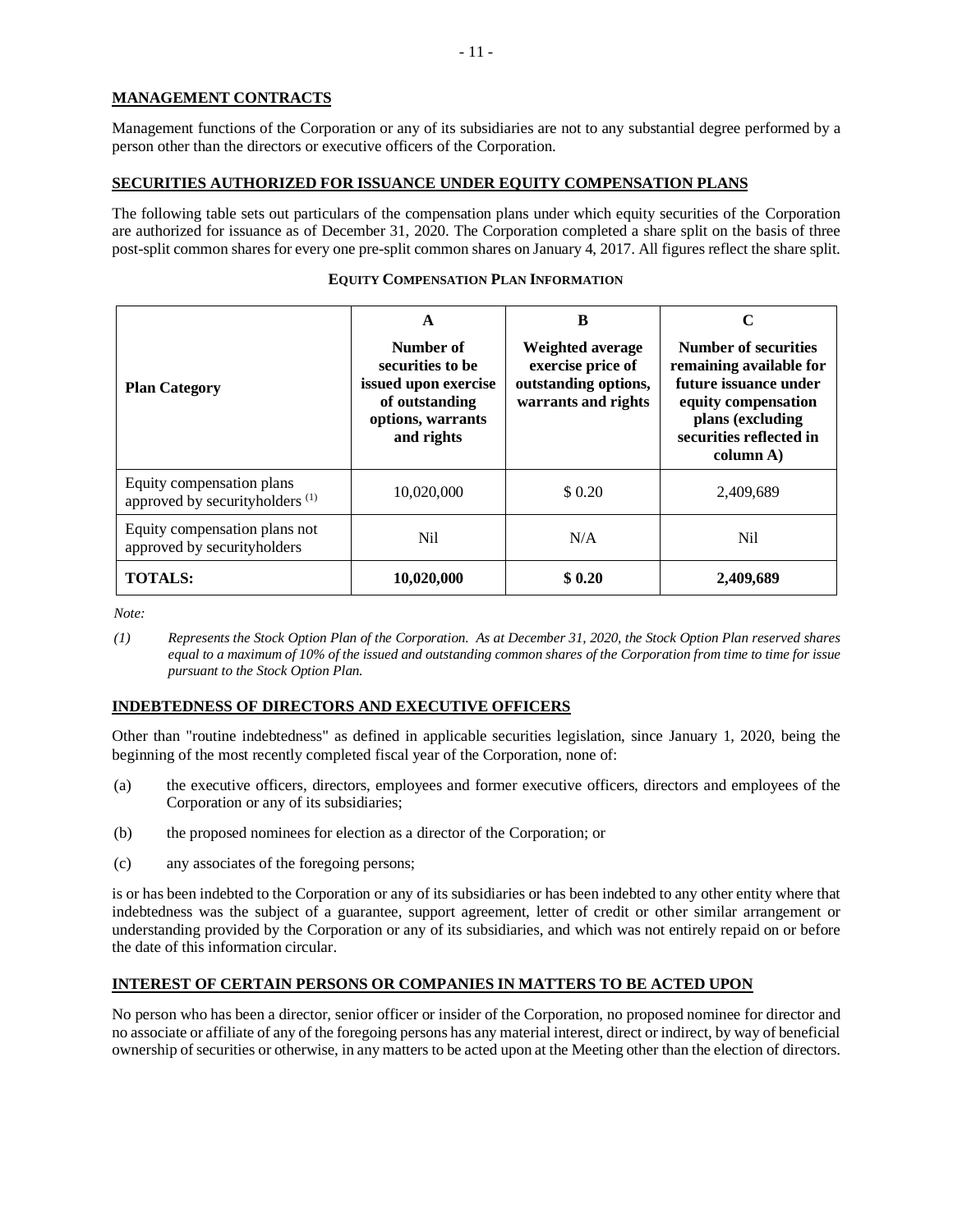## **MANAGEMENT CONTRACTS**

Management functions of the Corporation or any of its subsidiaries are not to any substantial degree performed by a person other than the directors or executive officers of the Corporation.

## **SECURITIES AUTHORIZED FOR ISSUANCE UNDER EQUITY COMPENSATION PLANS**

The following table sets out particulars of the compensation plans under which equity securities of the Corporation are authorized for issuance as of December 31, 2020. The Corporation completed a share split on the basis of three post-split common shares for every one pre-split common shares on January 4, 2017. All figures reflect the share split.

| <b>Plan Category</b>                                                    | A<br>Number of<br>securities to be<br>issued upon exercise<br>of outstanding<br>options, warrants<br>and rights | B<br>Weighted average<br>exercise price of<br>outstanding options,<br>warrants and rights | C<br><b>Number of securities</b><br>remaining available for<br>future issuance under<br>equity compensation<br>plans (excluding<br>securities reflected in<br>column A) |
|-------------------------------------------------------------------------|-----------------------------------------------------------------------------------------------------------------|-------------------------------------------------------------------------------------------|-------------------------------------------------------------------------------------------------------------------------------------------------------------------------|
| Equity compensation plans<br>approved by securityholders <sup>(1)</sup> | 10,020,000                                                                                                      | \$ 0.20                                                                                   | 2,409,689                                                                                                                                                               |
| Equity compensation plans not<br>approved by securityholders            | Nil.                                                                                                            | N/A                                                                                       | Nil                                                                                                                                                                     |
| <b>TOTALS:</b>                                                          | 10,020,000                                                                                                      | \$0.20                                                                                    | 2,409,689                                                                                                                                                               |

## **EQUITY COMPENSATION PLAN INFORMATION**

*Note:*

*(1) Represents the Stock Option Plan of the Corporation. As at December 31, 2020, the Stock Option Plan reserved shares equal to a maximum of 10% of the issued and outstanding common shares of the Corporation from time to time for issue pursuant to the Stock Option Plan.*

## **INDEBTEDNESS OF DIRECTORS AND EXECUTIVE OFFICERS**

Other than "routine indebtedness" as defined in applicable securities legislation, since January 1, 2020, being the beginning of the most recently completed fiscal year of the Corporation, none of:

- (a) the executive officers, directors, employees and former executive officers, directors and employees of the Corporation or any of its subsidiaries;
- (b) the proposed nominees for election as a director of the Corporation; or
- (c) any associates of the foregoing persons;

is or has been indebted to the Corporation or any of its subsidiaries or has been indebted to any other entity where that indebtedness was the subject of a guarantee, support agreement, letter of credit or other similar arrangement or understanding provided by the Corporation or any of its subsidiaries, and which was not entirely repaid on or before the date of this information circular.

## **INTEREST OF CERTAIN PERSONS OR COMPANIES IN MATTERS TO BE ACTED UPON**

No person who has been a director, senior officer or insider of the Corporation, no proposed nominee for director and no associate or affiliate of any of the foregoing persons has any material interest, direct or indirect, by way of beneficial ownership of securities or otherwise, in any matters to be acted upon at the Meeting other than the election of directors.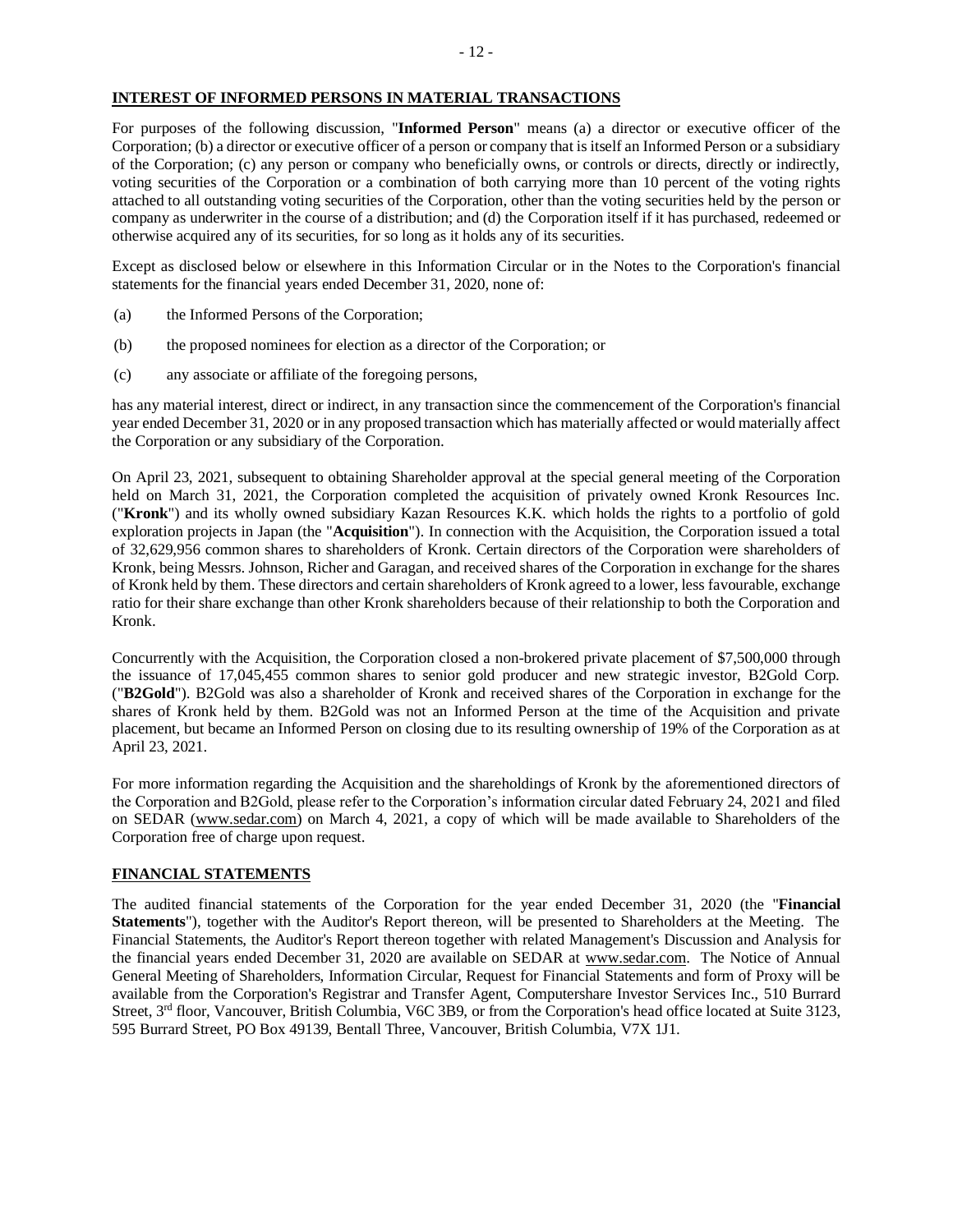## **INTEREST OF INFORMED PERSONS IN MATERIAL TRANSACTIONS**

For purposes of the following discussion, "**Informed Person**" means (a) a director or executive officer of the Corporation; (b) a director or executive officer of a person or company that is itself an Informed Person or a subsidiary of the Corporation; (c) any person or company who beneficially owns, or controls or directs, directly or indirectly, voting securities of the Corporation or a combination of both carrying more than 10 percent of the voting rights attached to all outstanding voting securities of the Corporation, other than the voting securities held by the person or company as underwriter in the course of a distribution; and (d) the Corporation itself if it has purchased, redeemed or otherwise acquired any of its securities, for so long as it holds any of its securities.

Except as disclosed below or elsewhere in this Information Circular or in the Notes to the Corporation's financial statements for the financial years ended December 31, 2020, none of:

- (a) the Informed Persons of the Corporation;
- (b) the proposed nominees for election as a director of the Corporation; or
- (c) any associate or affiliate of the foregoing persons,

has any material interest, direct or indirect, in any transaction since the commencement of the Corporation's financial year ended December 31, 2020 or in any proposed transaction which has materially affected or would materially affect the Corporation or any subsidiary of the Corporation.

On April 23, 2021, subsequent to obtaining Shareholder approval at the special general meeting of the Corporation held on March 31, 2021, the Corporation completed the acquisition of privately owned Kronk Resources Inc. ("**Kronk**") and its wholly owned subsidiary Kazan Resources K.K. which holds the rights to a portfolio of gold exploration projects in Japan (the "**Acquisition**"). In connection with the Acquisition, the Corporation issued a total of 32,629,956 common shares to shareholders of Kronk. Certain directors of the Corporation were shareholders of Kronk, being Messrs. Johnson, Richer and Garagan, and received shares of the Corporation in exchange for the shares of Kronk held by them. These directors and certain shareholders of Kronk agreed to a lower, less favourable, exchange ratio for their share exchange than other Kronk shareholders because of their relationship to both the Corporation and Kronk.

Concurrently with the Acquisition, the Corporation closed a non-brokered private placement of \$7,500,000 through the issuance of 17,045,455 common shares to senior gold producer and new strategic investor, B2Gold Corp. ("**B2Gold**"). B2Gold was also a shareholder of Kronk and received shares of the Corporation in exchange for the shares of Kronk held by them. B2Gold was not an Informed Person at the time of the Acquisition and private placement, but became an Informed Person on closing due to its resulting ownership of 19% of the Corporation as at April 23, 2021.

For more information regarding the Acquisition and the shareholdings of Kronk by the aforementioned directors of the Corporation and B2Gold, please refer to the Corporation's information circular dated February 24, 2021 and filed on SEDAR [\(www.sedar.com\)](http://www.sedar.com/) on March 4, 2021, a copy of which will be made available to Shareholders of the Corporation free of charge upon request.

## **FINANCIAL STATEMENTS**

The audited financial statements of the Corporation for the year ended December 31, 2020 (the "**Financial Statements**"), together with the Auditor's Report thereon, will be presented to Shareholders at the Meeting. The Financial Statements, the Auditor's Report thereon together with related Management's Discussion and Analysis for the financial years ended December 31, 2020 are available on SEDAR at www.sedar.com. The Notice of Annual General Meeting of Shareholders, Information Circular, Request for Financial Statements and form of Proxy will be available from the Corporation's Registrar and Transfer Agent, Computershare Investor Services Inc., 510 Burrard Street, 3<sup>rd</sup> floor, Vancouver, British Columbia, V6C 3B9, or from the Corporation's head office located at Suite 3123, 595 Burrard Street, PO Box 49139, Bentall Three, Vancouver, British Columbia, V7X 1J1.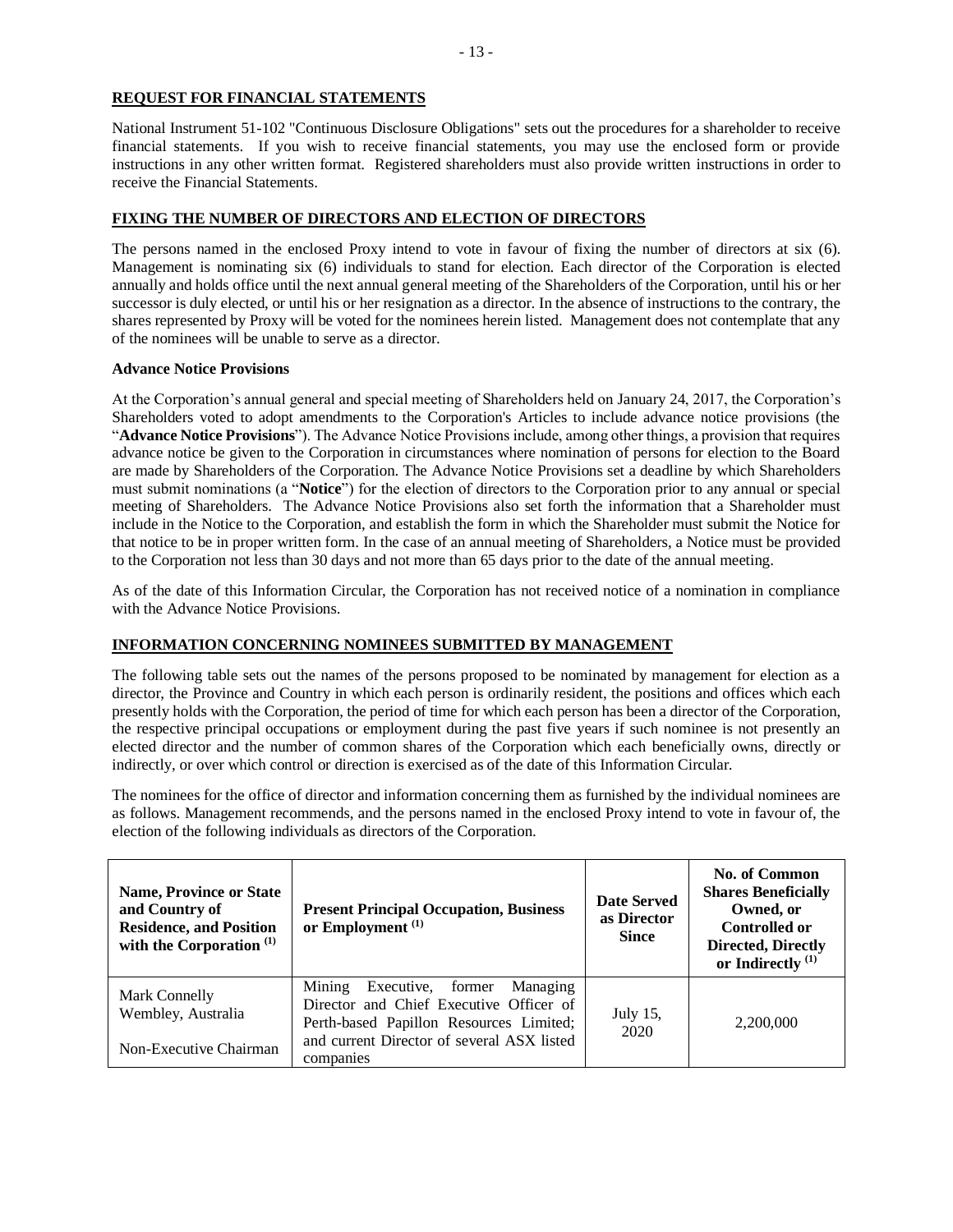## **REQUEST FOR FINANCIAL STATEMENTS**

National Instrument 51-102 "Continuous Disclosure Obligations" sets out the procedures for a shareholder to receive financial statements. If you wish to receive financial statements, you may use the enclosed form or provide instructions in any other written format. Registered shareholders must also provide written instructions in order to receive the Financial Statements.

## **FIXING THE NUMBER OF DIRECTORS AND ELECTION OF DIRECTORS**

The persons named in the enclosed Proxy intend to vote in favour of fixing the number of directors at six (6). Management is nominating six (6) individuals to stand for election. Each director of the Corporation is elected annually and holds office until the next annual general meeting of the Shareholders of the Corporation, until his or her successor is duly elected, or until his or her resignation as a director. In the absence of instructions to the contrary, the shares represented by Proxy will be voted for the nominees herein listed. Management does not contemplate that any of the nominees will be unable to serve as a director.

## **Advance Notice Provisions**

At the Corporation's annual general and special meeting of Shareholders held on January 24, 2017, the Corporation's Shareholders voted to adopt amendments to the Corporation's Articles to include advance notice provisions (the "**Advance Notice Provisions**"). The Advance Notice Provisions include, among other things, a provision that requires advance notice be given to the Corporation in circumstances where nomination of persons for election to the Board are made by Shareholders of the Corporation. The Advance Notice Provisions set a deadline by which Shareholders must submit nominations (a "**Notice**") for the election of directors to the Corporation prior to any annual or special meeting of Shareholders. The Advance Notice Provisions also set forth the information that a Shareholder must include in the Notice to the Corporation, and establish the form in which the Shareholder must submit the Notice for that notice to be in proper written form. In the case of an annual meeting of Shareholders, a Notice must be provided to the Corporation not less than 30 days and not more than 65 days prior to the date of the annual meeting.

As of the date of this Information Circular, the Corporation has not received notice of a nomination in compliance with the Advance Notice Provisions.

## **INFORMATION CONCERNING NOMINEES SUBMITTED BY MANAGEMENT**

The following table sets out the names of the persons proposed to be nominated by management for election as a director, the Province and Country in which each person is ordinarily resident, the positions and offices which each presently holds with the Corporation, the period of time for which each person has been a director of the Corporation, the respective principal occupations or employment during the past five years if such nominee is not presently an elected director and the number of common shares of the Corporation which each beneficially owns, directly or indirectly, or over which control or direction is exercised as of the date of this Information Circular.

The nominees for the office of director and information concerning them as furnished by the individual nominees are as follows. Management recommends, and the persons named in the enclosed Proxy intend to vote in favour of, the election of the following individuals as directors of the Corporation.

| <b>Name, Province or State</b><br>and Country of<br><b>Residence, and Position</b><br>with the Corporation <sup>(1)</sup> | <b>Present Principal Occupation, Business</b><br>or Employment $(1)$                                                                                                                  | <b>Date Served</b><br>as Director<br><b>Since</b> | <b>No. of Common</b><br><b>Shares Beneficially</b><br>Owned, or<br><b>Controlled or</b><br><b>Directed, Directly</b><br>or Indirectly $^{(1)}$ |
|---------------------------------------------------------------------------------------------------------------------------|---------------------------------------------------------------------------------------------------------------------------------------------------------------------------------------|---------------------------------------------------|------------------------------------------------------------------------------------------------------------------------------------------------|
| Mark Connelly<br>Wembley, Australia<br>Non-Executive Chairman                                                             | Mining<br>Executive, former Managing<br>Director and Chief Executive Officer of<br>Perth-based Papillon Resources Limited;<br>and current Director of several ASX listed<br>companies | July 15,<br>2020                                  | 2,200,000                                                                                                                                      |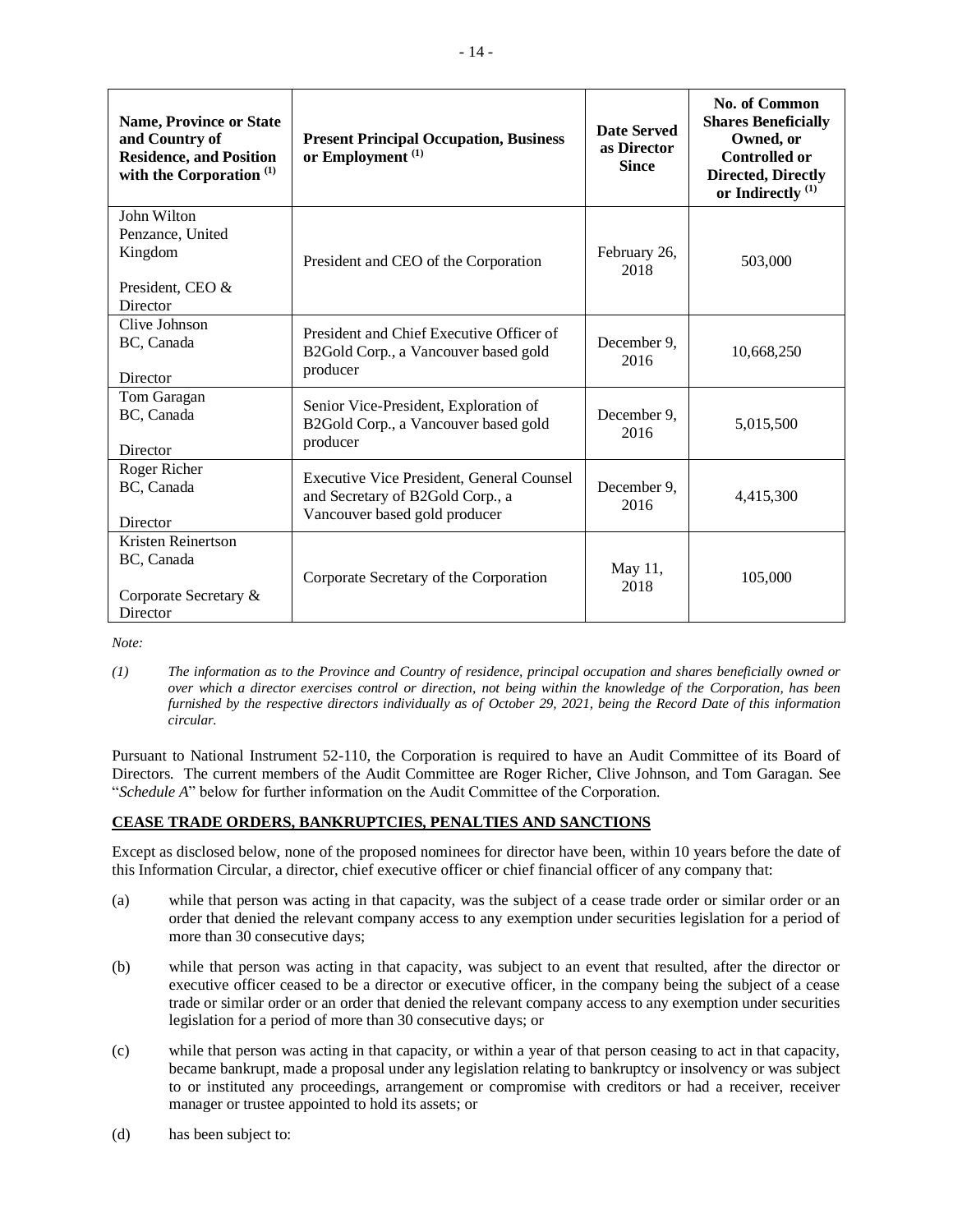| <b>Name, Province or State</b><br>and Country of<br><b>Residence, and Position</b><br>with the Corporation <sup>(1)</sup> | <b>Present Principal Occupation, Business</b><br>or Employment <sup>(1)</sup>                                         | <b>Date Served</b><br>as Director<br><b>Since</b> | No. of Common<br><b>Shares Beneficially</b><br>Owned, or<br><b>Controlled or</b><br><b>Directed, Directly</b><br>or Indirectly <sup>(1)</sup> |
|---------------------------------------------------------------------------------------------------------------------------|-----------------------------------------------------------------------------------------------------------------------|---------------------------------------------------|-----------------------------------------------------------------------------------------------------------------------------------------------|
| John Wilton<br>Penzance, United<br>Kingdom<br>President, CEO &<br>Director                                                | President and CEO of the Corporation                                                                                  | February 26,<br>2018                              | 503,000                                                                                                                                       |
| Clive Johnson<br>BC, Canada<br>Director                                                                                   | President and Chief Executive Officer of<br>B2Gold Corp., a Vancouver based gold<br>producer                          | December 9,<br>2016                               | 10,668,250                                                                                                                                    |
| Tom Garagan<br>BC, Canada<br>Director                                                                                     | Senior Vice-President, Exploration of<br>B2Gold Corp., a Vancouver based gold<br>producer                             | December 9,<br>2016                               | 5,015,500                                                                                                                                     |
| Roger Richer<br>BC, Canada<br>Director                                                                                    | <b>Executive Vice President, General Counsel</b><br>and Secretary of B2Gold Corp., a<br>Vancouver based gold producer | December 9,<br>2016                               | 4,415,300                                                                                                                                     |
| Kristen Reinertson<br>BC, Canada<br>Corporate Secretary &<br>Director                                                     | Corporate Secretary of the Corporation                                                                                | May 11,<br>2018                                   | 105,000                                                                                                                                       |

*Note:*

*(1) The information as to the Province and Country of residence, principal occupation and shares beneficially owned or over which a director exercises control or direction, not being within the knowledge of the Corporation, has been furnished by the respective directors individually as of October 29, 2021, being the Record Date of this information circular.* 

Pursuant to National Instrument 52-110, the Corporation is required to have an Audit Committee of its Board of Directors. The current members of the Audit Committee are Roger Richer, Clive Johnson, and Tom Garagan. See "*Schedule A*" below for further information on the Audit Committee of the Corporation.

## **CEASE TRADE ORDERS, BANKRUPTCIES, PENALTIES AND SANCTIONS**

Except as disclosed below, none of the proposed nominees for director have been, within 10 years before the date of this Information Circular, a director, chief executive officer or chief financial officer of any company that:

- (a) while that person was acting in that capacity, was the subject of a cease trade order or similar order or an order that denied the relevant company access to any exemption under securities legislation for a period of more than 30 consecutive days;
- (b) while that person was acting in that capacity, was subject to an event that resulted, after the director or executive officer ceased to be a director or executive officer, in the company being the subject of a cease trade or similar order or an order that denied the relevant company access to any exemption under securities legislation for a period of more than 30 consecutive days; or
- (c) while that person was acting in that capacity, or within a year of that person ceasing to act in that capacity, became bankrupt, made a proposal under any legislation relating to bankruptcy or insolvency or was subject to or instituted any proceedings, arrangement or compromise with creditors or had a receiver, receiver manager or trustee appointed to hold its assets; or
- (d) has been subject to: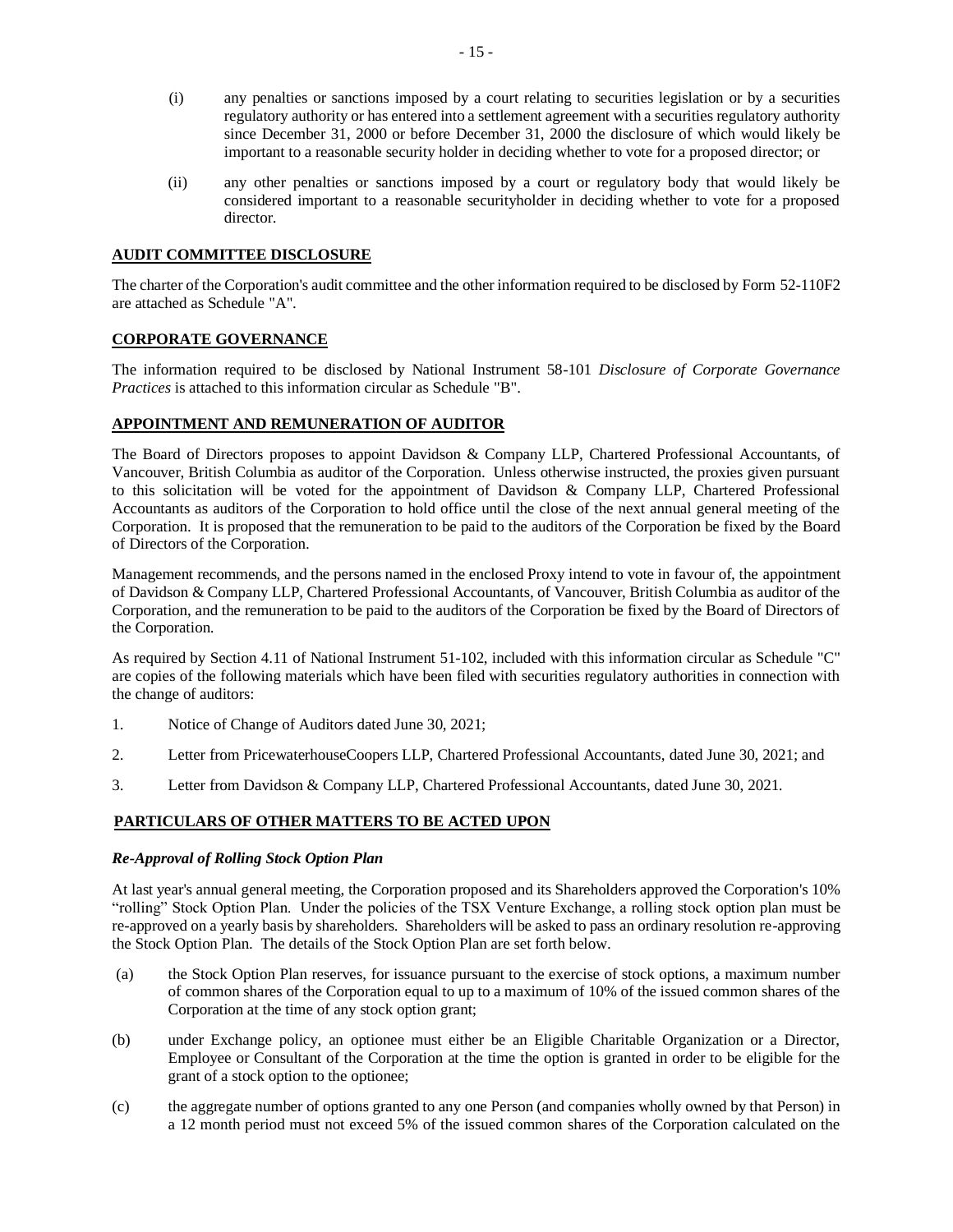- (i) any penalties or sanctions imposed by a court relating to securities legislation or by a securities regulatory authority or has entered into a settlement agreement with a securities regulatory authority since December 31, 2000 or before December 31, 2000 the disclosure of which would likely be important to a reasonable security holder in deciding whether to vote for a proposed director; or
- (ii) any other penalties or sanctions imposed by a court or regulatory body that would likely be considered important to a reasonable securityholder in deciding whether to vote for a proposed director.

## **AUDIT COMMITTEE DISCLOSURE**

The charter of the Corporation's audit committee and the other information required to be disclosed by Form 52-110F2 are attached as Schedule "A".

## **CORPORATE GOVERNANCE**

The information required to be disclosed by National Instrument 58-101 *Disclosure of Corporate Governance Practices* is attached to this information circular as Schedule "B".

## **APPOINTMENT AND REMUNERATION OF AUDITOR**

The Board of Directors proposes to appoint Davidson & Company LLP, Chartered Professional Accountants, of Vancouver, British Columbia as auditor of the Corporation. Unless otherwise instructed, the proxies given pursuant to this solicitation will be voted for the appointment of Davidson & Company LLP, Chartered Professional Accountants as auditors of the Corporation to hold office until the close of the next annual general meeting of the Corporation. It is proposed that the remuneration to be paid to the auditors of the Corporation be fixed by the Board of Directors of the Corporation.

Management recommends, and the persons named in the enclosed Proxy intend to vote in favour of, the appointment of Davidson & Company LLP, Chartered Professional Accountants, of Vancouver, British Columbia as auditor of the Corporation, and the remuneration to be paid to the auditors of the Corporation be fixed by the Board of Directors of the Corporation.

As required by Section 4.11 of National Instrument 51-102, included with this information circular as Schedule "C" are copies of the following materials which have been filed with securities regulatory authorities in connection with the change of auditors:

- 1. Notice of Change of Auditors dated June 30, 2021;
- 2. Letter from PricewaterhouseCoopers LLP, Chartered Professional Accountants, dated June 30, 2021; and
- 3. Letter from Davidson & Company LLP, Chartered Professional Accountants, dated June 30, 2021.

## **PARTICULARS OF OTHER MATTERS TO BE ACTED UPON**

## *Re-Approval of Rolling Stock Option Plan*

At last year's annual general meeting, the Corporation proposed and its Shareholders approved the Corporation's 10% "rolling" Stock Option Plan. Under the policies of the TSX Venture Exchange, a rolling stock option plan must be re-approved on a yearly basis by shareholders. Shareholders will be asked to pass an ordinary resolution re-approving the Stock Option Plan. The details of the Stock Option Plan are set forth below.

- (a) the Stock Option Plan reserves, for issuance pursuant to the exercise of stock options, a maximum number of common shares of the Corporation equal to up to a maximum of 10% of the issued common shares of the Corporation at the time of any stock option grant;
- (b) under Exchange policy, an optionee must either be an Eligible Charitable Organization or a Director, Employee or Consultant of the Corporation at the time the option is granted in order to be eligible for the grant of a stock option to the optionee;
- (c) the aggregate number of options granted to any one Person (and companies wholly owned by that Person) in a 12 month period must not exceed 5% of the issued common shares of the Corporation calculated on the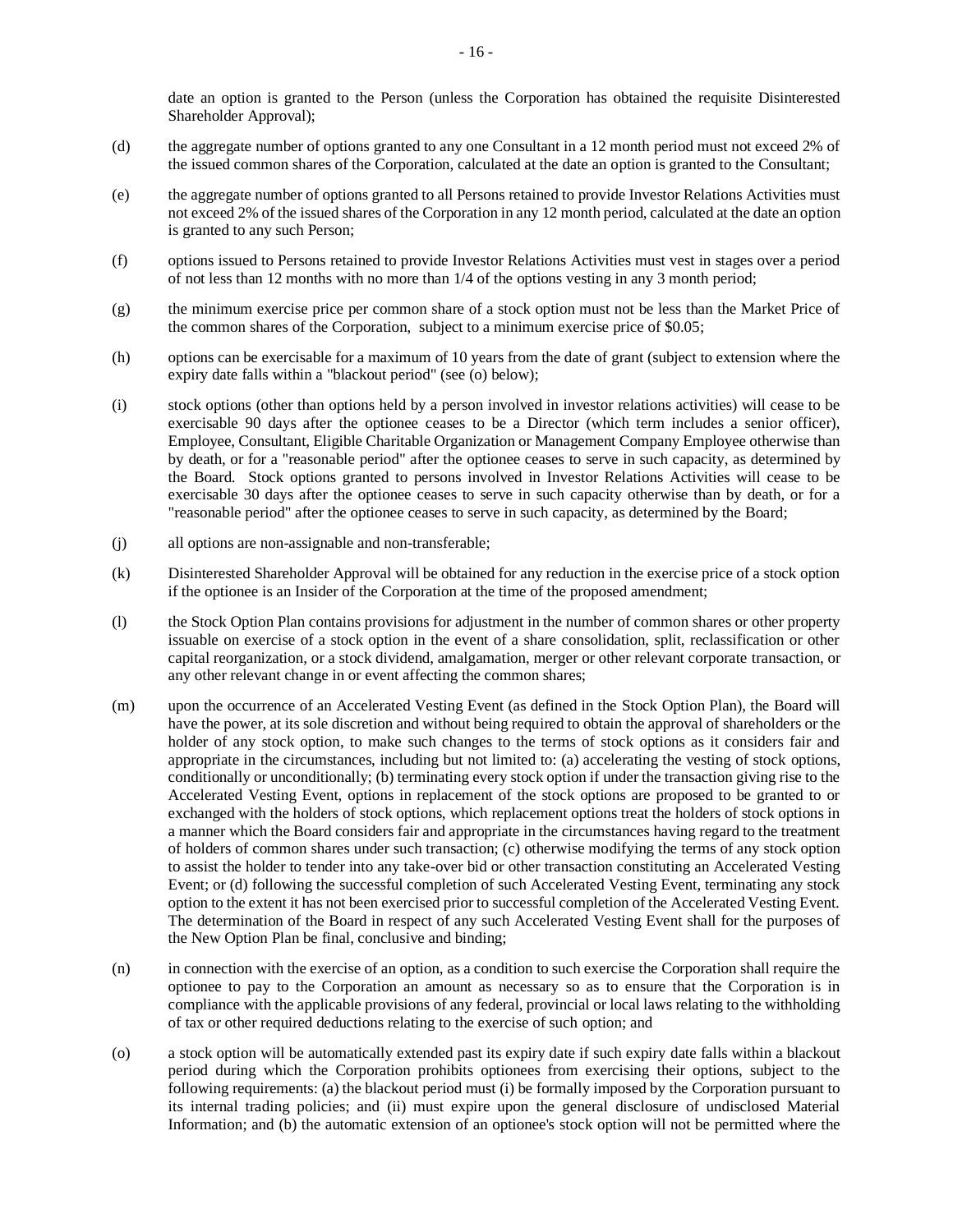date an option is granted to the Person (unless the Corporation has obtained the requisite Disinterested Shareholder Approval);

- (d) the aggregate number of options granted to any one Consultant in a 12 month period must not exceed 2% of the issued common shares of the Corporation, calculated at the date an option is granted to the Consultant;
- (e) the aggregate number of options granted to all Persons retained to provide Investor Relations Activities must not exceed 2% of the issued shares of the Corporation in any 12 month period, calculated at the date an option is granted to any such Person;
- (f) options issued to Persons retained to provide Investor Relations Activities must vest in stages over a period of not less than 12 months with no more than 1/4 of the options vesting in any 3 month period;
- (g) the minimum exercise price per common share of a stock option must not be less than the Market Price of the common shares of the Corporation, subject to a minimum exercise price of \$0.05;
- (h) options can be exercisable for a maximum of 10 years from the date of grant (subject to extension where the expiry date falls within a "blackout period" (see (o) below);
- (i) stock options (other than options held by a person involved in investor relations activities) will cease to be exercisable 90 days after the optionee ceases to be a Director (which term includes a senior officer), Employee, Consultant, Eligible Charitable Organization or Management Company Employee otherwise than by death, or for a "reasonable period" after the optionee ceases to serve in such capacity, as determined by the Board. Stock options granted to persons involved in Investor Relations Activities will cease to be exercisable 30 days after the optionee ceases to serve in such capacity otherwise than by death, or for a "reasonable period" after the optionee ceases to serve in such capacity, as determined by the Board;
- (j) all options are non-assignable and non-transferable;
- (k) Disinterested Shareholder Approval will be obtained for any reduction in the exercise price of a stock option if the optionee is an Insider of the Corporation at the time of the proposed amendment;
- (l) the Stock Option Plan contains provisions for adjustment in the number of common shares or other property issuable on exercise of a stock option in the event of a share consolidation, split, reclassification or other capital reorganization, or a stock dividend, amalgamation, merger or other relevant corporate transaction, or any other relevant change in or event affecting the common shares;
- (m) upon the occurrence of an Accelerated Vesting Event (as defined in the Stock Option Plan), the Board will have the power, at its sole discretion and without being required to obtain the approval of shareholders or the holder of any stock option, to make such changes to the terms of stock options as it considers fair and appropriate in the circumstances, including but not limited to: (a) accelerating the vesting of stock options, conditionally or unconditionally; (b) terminating every stock option if under the transaction giving rise to the Accelerated Vesting Event, options in replacement of the stock options are proposed to be granted to or exchanged with the holders of stock options, which replacement options treat the holders of stock options in a manner which the Board considers fair and appropriate in the circumstances having regard to the treatment of holders of common shares under such transaction; (c) otherwise modifying the terms of any stock option to assist the holder to tender into any take-over bid or other transaction constituting an Accelerated Vesting Event; or (d) following the successful completion of such Accelerated Vesting Event, terminating any stock option to the extent it has not been exercised prior to successful completion of the Accelerated Vesting Event. The determination of the Board in respect of any such Accelerated Vesting Event shall for the purposes of the New Option Plan be final, conclusive and binding;
- (n) in connection with the exercise of an option, as a condition to such exercise the Corporation shall require the optionee to pay to the Corporation an amount as necessary so as to ensure that the Corporation is in compliance with the applicable provisions of any federal, provincial or local laws relating to the withholding of tax or other required deductions relating to the exercise of such option; and
- (o) a stock option will be automatically extended past its expiry date if such expiry date falls within a blackout period during which the Corporation prohibits optionees from exercising their options, subject to the following requirements: (a) the blackout period must (i) be formally imposed by the Corporation pursuant to its internal trading policies; and (ii) must expire upon the general disclosure of undisclosed Material Information; and (b) the automatic extension of an optionee's stock option will not be permitted where the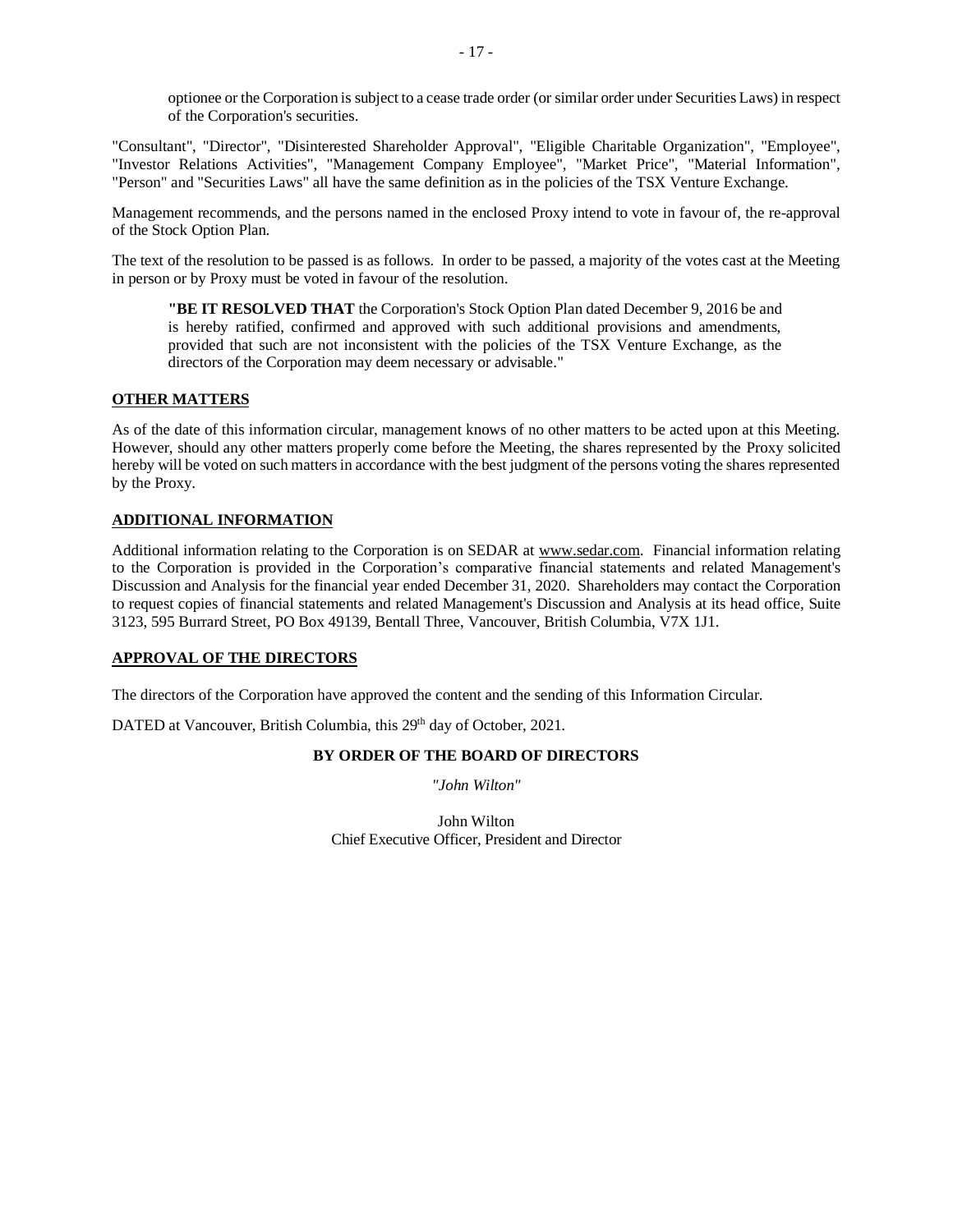optionee or the Corporation is subject to a cease trade order (or similar order under Securities Laws) in respect of the Corporation's securities.

"Consultant", "Director", "Disinterested Shareholder Approval", "Eligible Charitable Organization", "Employee", "Investor Relations Activities", "Management Company Employee", "Market Price", "Material Information", "Person" and "Securities Laws" all have the same definition as in the policies of the TSX Venture Exchange.

Management recommends, and the persons named in the enclosed Proxy intend to vote in favour of, the re-approval of the Stock Option Plan.

The text of the resolution to be passed is as follows. In order to be passed, a majority of the votes cast at the Meeting in person or by Proxy must be voted in favour of the resolution.

**"BE IT RESOLVED THAT** the Corporation's Stock Option Plan dated December 9, 2016 be and is hereby ratified, confirmed and approved with such additional provisions and amendments, provided that such are not inconsistent with the policies of the TSX Venture Exchange, as the directors of the Corporation may deem necessary or advisable."

## **OTHER MATTERS**

As of the date of this information circular, management knows of no other matters to be acted upon at this Meeting. However, should any other matters properly come before the Meeting, the shares represented by the Proxy solicited hereby will be voted on such matters in accordance with the best judgment of the persons voting the shares represented by the Proxy.

#### **ADDITIONAL INFORMATION**

Additional information relating to the Corporation is on SEDAR at [www.sedar.com.](http://www.sedar.com/) Financial information relating to the Corporation is provided in the Corporation's comparative financial statements and related Management's Discussion and Analysis for the financial year ended December 31, 2020. Shareholders may contact the Corporation to request copies of financial statements and related Management's Discussion and Analysis at its head office, Suite 3123, 595 Burrard Street, PO Box 49139, Bentall Three, Vancouver, British Columbia, V7X 1J1.

## **APPROVAL OF THE DIRECTORS**

The directors of the Corporation have approved the content and the sending of this Information Circular.

DATED at Vancouver, British Columbia, this 29<sup>th</sup> day of October, 2021.

## **BY ORDER OF THE BOARD OF DIRECTORS**

*"John Wilton"*

John Wilton Chief Executive Officer, President and Director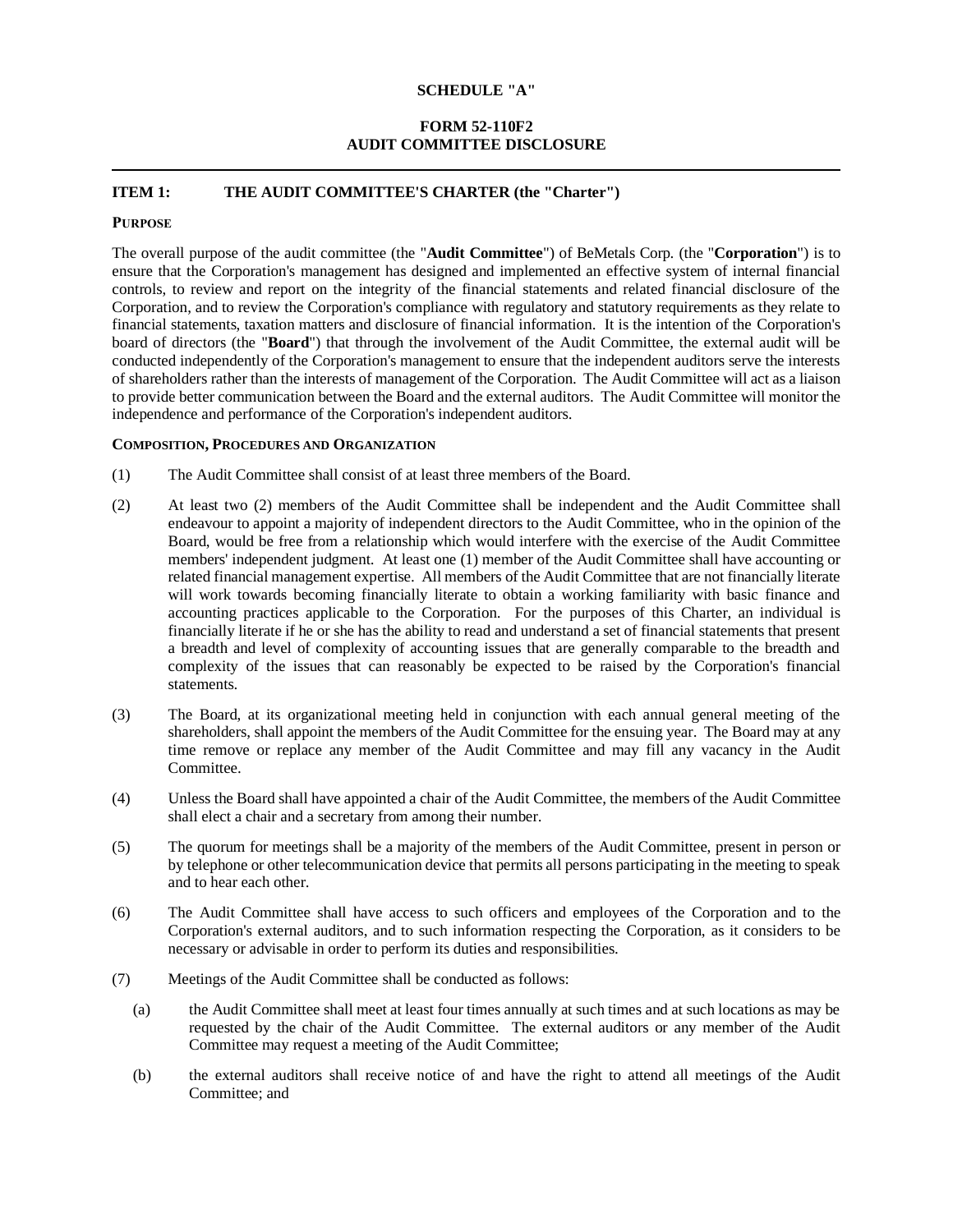#### **SCHEDULE "A"**

## **FORM 52-110F2 AUDIT COMMITTEE DISCLOSURE**

## **ITEM 1: THE AUDIT COMMITTEE'S CHARTER (the "Charter")**

#### **PURPOSE**

The overall purpose of the audit committee (the "**Audit Committee**") of BeMetals Corp. (the "**Corporation**") is to ensure that the Corporation's management has designed and implemented an effective system of internal financial controls, to review and report on the integrity of the financial statements and related financial disclosure of the Corporation, and to review the Corporation's compliance with regulatory and statutory requirements as they relate to financial statements, taxation matters and disclosure of financial information. It is the intention of the Corporation's board of directors (the "**Board**") that through the involvement of the Audit Committee, the external audit will be conducted independently of the Corporation's management to ensure that the independent auditors serve the interests of shareholders rather than the interests of management of the Corporation. The Audit Committee will act as a liaison to provide better communication between the Board and the external auditors. The Audit Committee will monitor the independence and performance of the Corporation's independent auditors.

#### **COMPOSITION, PROCEDURES AND ORGANIZATION**

- (1) The Audit Committee shall consist of at least three members of the Board.
- (2) At least two (2) members of the Audit Committee shall be independent and the Audit Committee shall endeavour to appoint a majority of independent directors to the Audit Committee, who in the opinion of the Board, would be free from a relationship which would interfere with the exercise of the Audit Committee members' independent judgment. At least one (1) member of the Audit Committee shall have accounting or related financial management expertise. All members of the Audit Committee that are not financially literate will work towards becoming financially literate to obtain a working familiarity with basic finance and accounting practices applicable to the Corporation. For the purposes of this Charter, an individual is financially literate if he or she has the ability to read and understand a set of financial statements that present a breadth and level of complexity of accounting issues that are generally comparable to the breadth and complexity of the issues that can reasonably be expected to be raised by the Corporation's financial statements.
- (3) The Board, at its organizational meeting held in conjunction with each annual general meeting of the shareholders, shall appoint the members of the Audit Committee for the ensuing year. The Board may at any time remove or replace any member of the Audit Committee and may fill any vacancy in the Audit Committee.
- (4) Unless the Board shall have appointed a chair of the Audit Committee, the members of the Audit Committee shall elect a chair and a secretary from among their number.
- (5) The quorum for meetings shall be a majority of the members of the Audit Committee, present in person or by telephone or other telecommunication device that permits all persons participating in the meeting to speak and to hear each other.
- (6) The Audit Committee shall have access to such officers and employees of the Corporation and to the Corporation's external auditors, and to such information respecting the Corporation, as it considers to be necessary or advisable in order to perform its duties and responsibilities.
- (7) Meetings of the Audit Committee shall be conducted as follows:
	- (a) the Audit Committee shall meet at least four times annually at such times and at such locations as may be requested by the chair of the Audit Committee. The external auditors or any member of the Audit Committee may request a meeting of the Audit Committee;
	- (b) the external auditors shall receive notice of and have the right to attend all meetings of the Audit Committee; and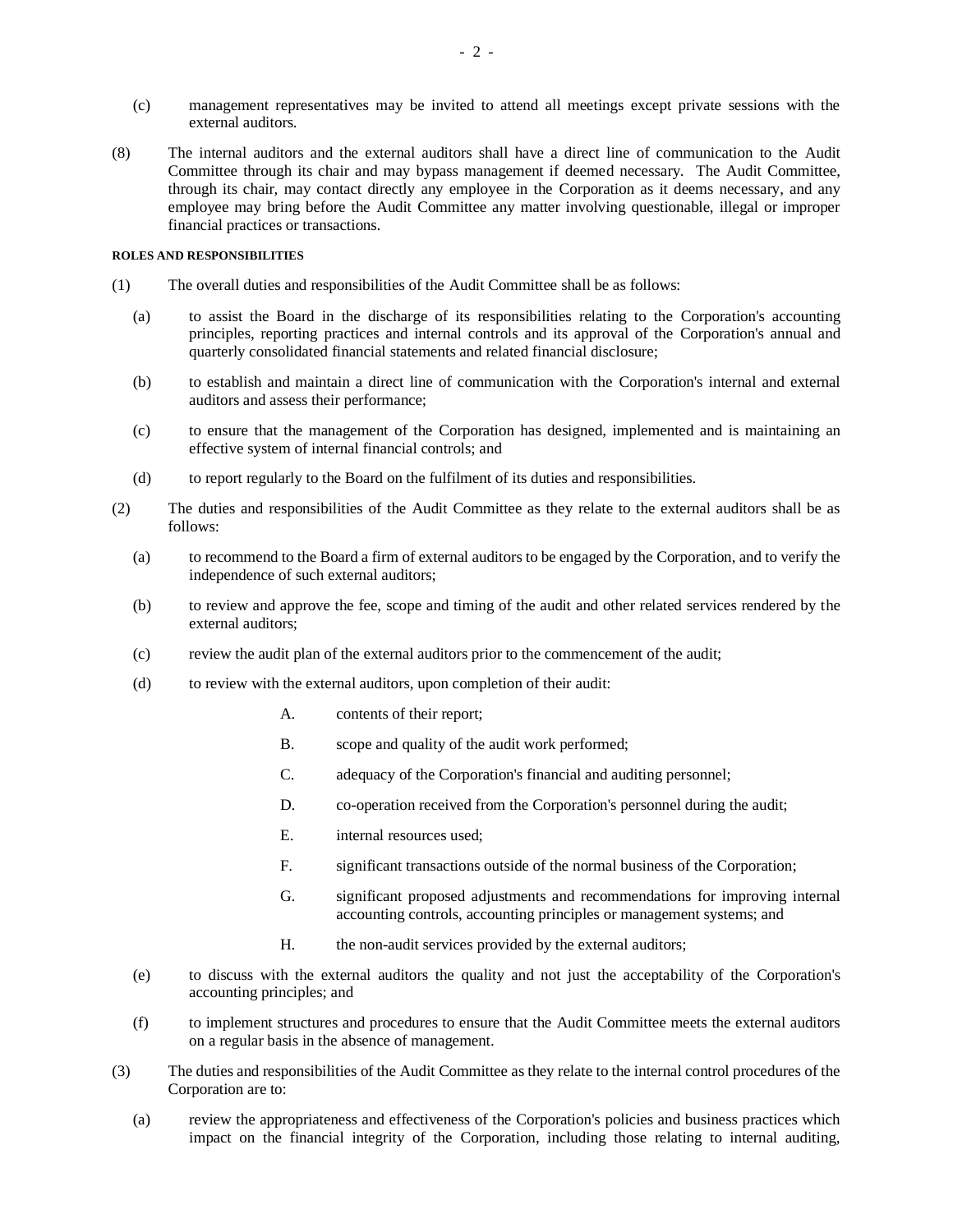- (c) management representatives may be invited to attend all meetings except private sessions with the external auditors.
- (8) The internal auditors and the external auditors shall have a direct line of communication to the Audit Committee through its chair and may bypass management if deemed necessary. The Audit Committee, through its chair, may contact directly any employee in the Corporation as it deems necessary, and any employee may bring before the Audit Committee any matter involving questionable, illegal or improper financial practices or transactions.

#### **ROLES AND RESPONSIBILITIES**

- (1) The overall duties and responsibilities of the Audit Committee shall be as follows:
	- (a) to assist the Board in the discharge of its responsibilities relating to the Corporation's accounting principles, reporting practices and internal controls and its approval of the Corporation's annual and quarterly consolidated financial statements and related financial disclosure;
	- (b) to establish and maintain a direct line of communication with the Corporation's internal and external auditors and assess their performance;
	- (c) to ensure that the management of the Corporation has designed, implemented and is maintaining an effective system of internal financial controls; and
	- (d) to report regularly to the Board on the fulfilment of its duties and responsibilities.
- (2) The duties and responsibilities of the Audit Committee as they relate to the external auditors shall be as follows:
	- (a) to recommend to the Board a firm of external auditors to be engaged by the Corporation, and to verify the independence of such external auditors;
	- (b) to review and approve the fee, scope and timing of the audit and other related services rendered by the external auditors;
	- (c) review the audit plan of the external auditors prior to the commencement of the audit;
	- (d) to review with the external auditors, upon completion of their audit:
		- A. contents of their report;
		- B. scope and quality of the audit work performed;
		- C. adequacy of the Corporation's financial and auditing personnel;
		- D. co-operation received from the Corporation's personnel during the audit;
		- E. internal resources used;
		- F. significant transactions outside of the normal business of the Corporation;
		- G. significant proposed adjustments and recommendations for improving internal accounting controls, accounting principles or management systems; and
		- H. the non-audit services provided by the external auditors;
	- (e) to discuss with the external auditors the quality and not just the acceptability of the Corporation's accounting principles; and
	- (f) to implement structures and procedures to ensure that the Audit Committee meets the external auditors on a regular basis in the absence of management.
- (3) The duties and responsibilities of the Audit Committee as they relate to the internal control procedures of the Corporation are to:
	- (a) review the appropriateness and effectiveness of the Corporation's policies and business practices which impact on the financial integrity of the Corporation, including those relating to internal auditing,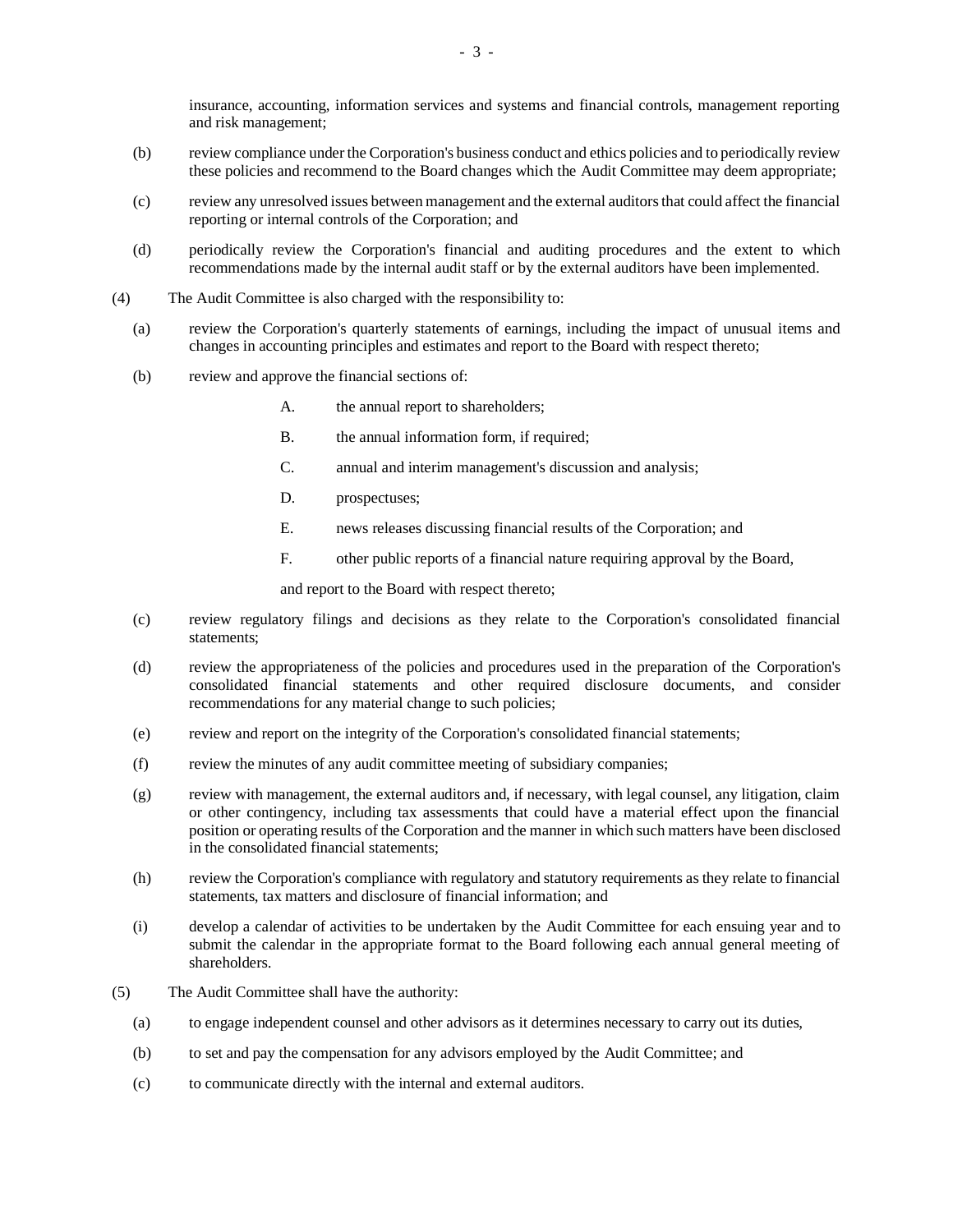insurance, accounting, information services and systems and financial controls, management reporting and risk management;

- (b) review compliance under the Corporation's business conduct and ethics policies and to periodically review these policies and recommend to the Board changes which the Audit Committee may deem appropriate;
- (c) review any unresolved issues between management and the external auditors that could affect the financial reporting or internal controls of the Corporation; and
- (d) periodically review the Corporation's financial and auditing procedures and the extent to which recommendations made by the internal audit staff or by the external auditors have been implemented.
- (4) The Audit Committee is also charged with the responsibility to:
	- (a) review the Corporation's quarterly statements of earnings, including the impact of unusual items and changes in accounting principles and estimates and report to the Board with respect thereto;
	- (b) review and approve the financial sections of:
		- A. the annual report to shareholders;
		- B. the annual information form, if required;
		- C. annual and interim management's discussion and analysis;
		- D. prospectuses;
		- E. news releases discussing financial results of the Corporation; and
		- F. other public reports of a financial nature requiring approval by the Board,

and report to the Board with respect thereto;

- (c) review regulatory filings and decisions as they relate to the Corporation's consolidated financial statements;
- (d) review the appropriateness of the policies and procedures used in the preparation of the Corporation's consolidated financial statements and other required disclosure documents, and consider recommendations for any material change to such policies;
- (e) review and report on the integrity of the Corporation's consolidated financial statements;
- (f) review the minutes of any audit committee meeting of subsidiary companies;
- (g) review with management, the external auditors and, if necessary, with legal counsel, any litigation, claim or other contingency, including tax assessments that could have a material effect upon the financial position or operating results of the Corporation and the manner in which such matters have been disclosed in the consolidated financial statements;
- (h) review the Corporation's compliance with regulatory and statutory requirements as they relate to financial statements, tax matters and disclosure of financial information; and
- (i) develop a calendar of activities to be undertaken by the Audit Committee for each ensuing year and to submit the calendar in the appropriate format to the Board following each annual general meeting of shareholders.
- (5) The Audit Committee shall have the authority:
	- (a) to engage independent counsel and other advisors as it determines necessary to carry out its duties,
	- (b) to set and pay the compensation for any advisors employed by the Audit Committee; and
	- (c) to communicate directly with the internal and external auditors.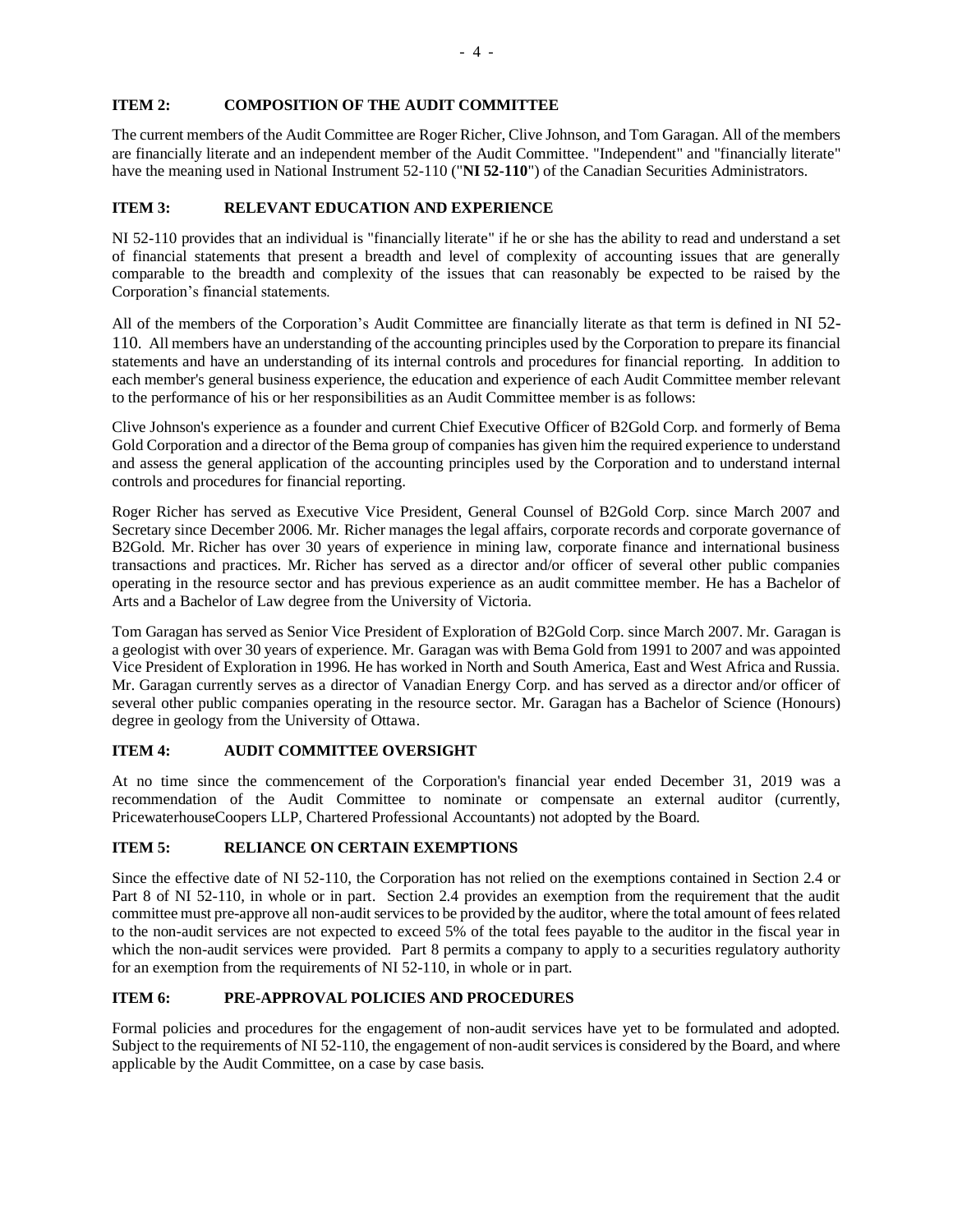## **ITEM 2: COMPOSITION OF THE AUDIT COMMITTEE**

The current members of the Audit Committee are Roger Richer, Clive Johnson, and Tom Garagan. All of the members are financially literate and an independent member of the Audit Committee. "Independent" and "financially literate" have the meaning used in National Instrument 52-110 ("**NI 52-110**") of the Canadian Securities Administrators.

## **ITEM 3: RELEVANT EDUCATION AND EXPERIENCE**

NI 52-110 provides that an individual is "financially literate" if he or she has the ability to read and understand a set of financial statements that present a breadth and level of complexity of accounting issues that are generally comparable to the breadth and complexity of the issues that can reasonably be expected to be raised by the Corporation's financial statements.

All of the members of the Corporation's Audit Committee are financially literate as that term is defined in NI 52- 110. All members have an understanding of the accounting principles used by the Corporation to prepare its financial statements and have an understanding of its internal controls and procedures for financial reporting. In addition to each member's general business experience, the education and experience of each Audit Committee member relevant to the performance of his or her responsibilities as an Audit Committee member is as follows:

Clive Johnson's experience as a founder and current Chief Executive Officer of B2Gold Corp. and formerly of Bema Gold Corporation and a director of the Bema group of companies has given him the required experience to understand and assess the general application of the accounting principles used by the Corporation and to understand internal controls and procedures for financial reporting.

Roger Richer has served as Executive Vice President, General Counsel of B2Gold Corp. since March 2007 and Secretary since December 2006. Mr. Richer manages the legal affairs, corporate records and corporate governance of B2Gold. Mr. Richer has over 30 years of experience in mining law, corporate finance and international business transactions and practices. Mr. Richer has served as a director and/or officer of several other public companies operating in the resource sector and has previous experience as an audit committee member. He has a Bachelor of Arts and a Bachelor of Law degree from the University of Victoria.

Tom Garagan has served as Senior Vice President of Exploration of B2Gold Corp. since March 2007. Mr. Garagan is a geologist with over 30 years of experience. Mr. Garagan was with Bema Gold from 1991 to 2007 and was appointed Vice President of Exploration in 1996. He has worked in North and South America, East and West Africa and Russia. Mr. Garagan currently serves as a director of Vanadian Energy Corp. and has served as a director and/or officer of several other public companies operating in the resource sector. Mr. Garagan has a Bachelor of Science (Honours) degree in geology from the University of Ottawa.

## **ITEM 4: AUDIT COMMITTEE OVERSIGHT**

At no time since the commencement of the Corporation's financial year ended December 31, 2019 was a recommendation of the Audit Committee to nominate or compensate an external auditor (currently, PricewaterhouseCoopers LLP, Chartered Professional Accountants) not adopted by the Board.

## **ITEM 5: RELIANCE ON CERTAIN EXEMPTIONS**

Since the effective date of NI 52-110, the Corporation has not relied on the exemptions contained in Section 2.4 or Part 8 of NI 52-110, in whole or in part. Section 2.4 provides an exemption from the requirement that the audit committee must pre-approve all non-audit services to be provided by the auditor, where the total amount of fees related to the non-audit services are not expected to exceed 5% of the total fees payable to the auditor in the fiscal year in which the non-audit services were provided. Part 8 permits a company to apply to a securities regulatory authority for an exemption from the requirements of NI 52-110, in whole or in part.

## **ITEM 6: PRE-APPROVAL POLICIES AND PROCEDURES**

Formal policies and procedures for the engagement of non-audit services have yet to be formulated and adopted. Subject to the requirements of NI 52-110, the engagement of non-audit services is considered by the Board, and where applicable by the Audit Committee, on a case by case basis.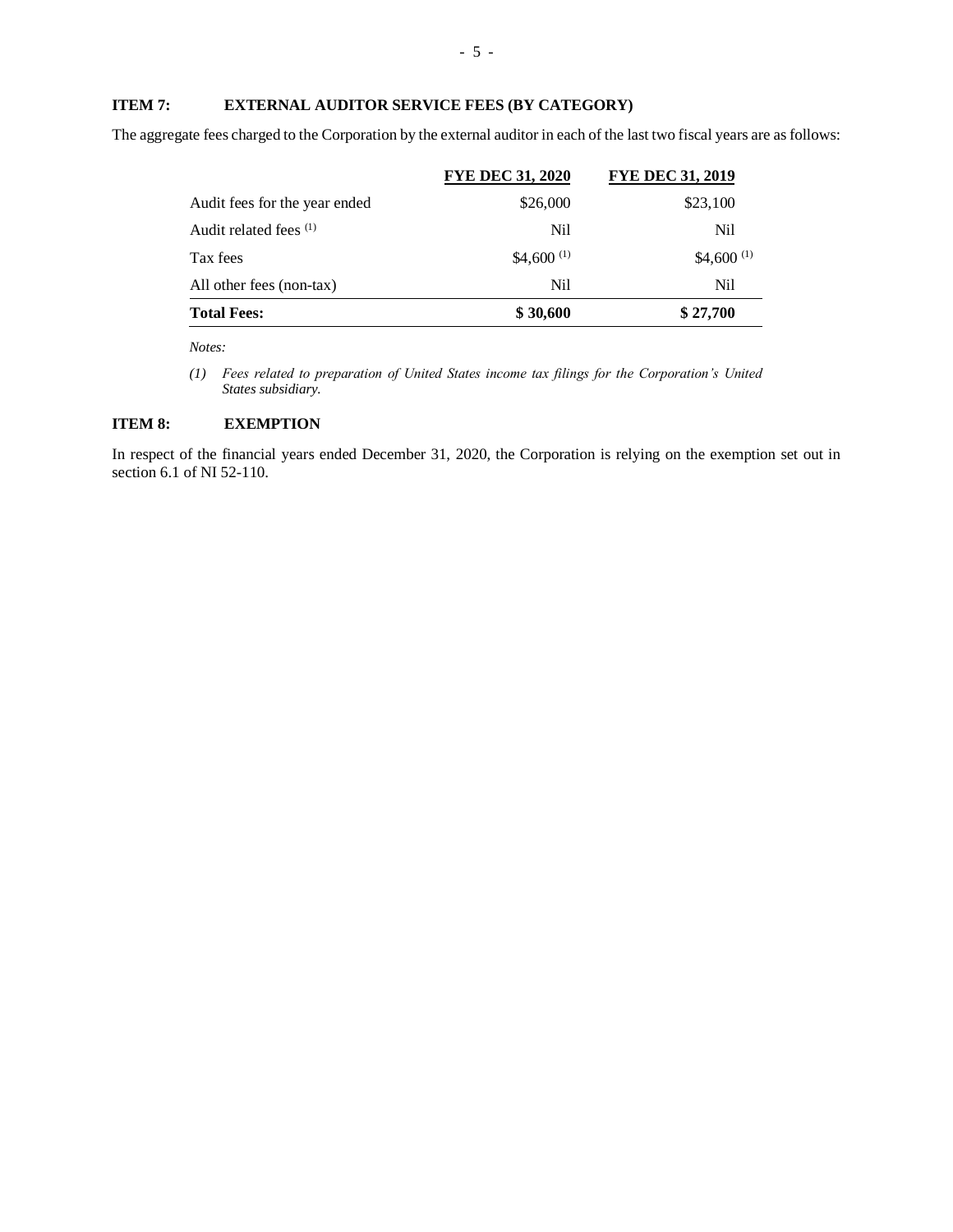## **ITEM 7: EXTERNAL AUDITOR SERVICE FEES (BY CATEGORY)**

The aggregate fees charged to the Corporation by the external auditor in each of the last two fiscal years are as follows:

| <b>Total Fees:</b>                | \$30,600                | \$27,700                |
|-----------------------------------|-------------------------|-------------------------|
| All other fees (non-tax)          | Nil                     | Nil                     |
| Tax fees                          | \$4,600 $(1)$           | \$4,600 $(1)$           |
| Audit related fees <sup>(1)</sup> | Nil                     | Nil                     |
| Audit fees for the year ended     | \$26,000                | \$23,100                |
|                                   | <b>FYE DEC 31, 2020</b> | <b>FYE DEC 31, 2019</b> |

*Notes:*

*(1) Fees related to preparation of United States income tax filings for the Corporation's United States subsidiary.* 

## **ITEM 8: EXEMPTION**

In respect of the financial years ended December 31, 2020, the Corporation is relying on the exemption set out in section 6.1 of NI 52-110.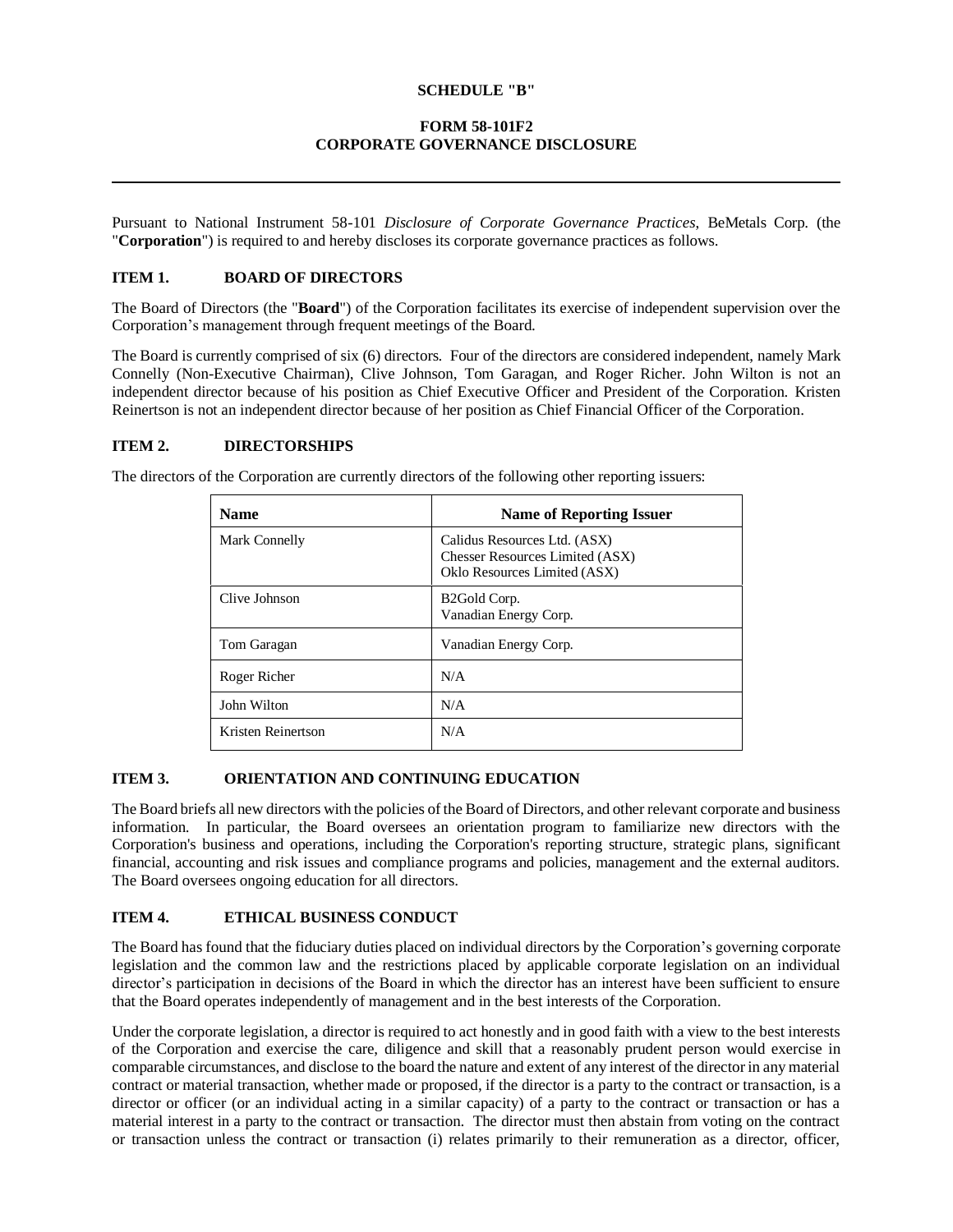## **SCHEDULE "B"**

## **FORM 58-101F2 CORPORATE GOVERNANCE DISCLOSURE**

Pursuant to National Instrument 58-101 *Disclosure of Corporate Governance Practices*, BeMetals Corp. (the "**Corporation**") is required to and hereby discloses its corporate governance practices as follows.

## **ITEM 1. BOARD OF DIRECTORS**

The Board of Directors (the "**Board**") of the Corporation facilitates its exercise of independent supervision over the Corporation's management through frequent meetings of the Board.

The Board is currently comprised of six (6) directors. Four of the directors are considered independent, namely Mark Connelly (Non-Executive Chairman), Clive Johnson, Tom Garagan, and Roger Richer. John Wilton is not an independent director because of his position as Chief Executive Officer and President of the Corporation. Kristen Reinertson is not an independent director because of her position as Chief Financial Officer of the Corporation.

## **ITEM 2. DIRECTORSHIPS**

The directors of the Corporation are currently directors of the following other reporting issuers:

| <b>Name</b>        | <b>Name of Reporting Issuer</b>                                                                        |
|--------------------|--------------------------------------------------------------------------------------------------------|
| Mark Connelly      | Calidus Resources Ltd. (ASX)<br><b>Chesser Resources Limited (ASX)</b><br>Oklo Resources Limited (ASX) |
| Clive Johnson      | B <sub>2</sub> Gold Corp.<br>Vanadian Energy Corp.                                                     |
| Tom Garagan        | Vanadian Energy Corp.                                                                                  |
| Roger Richer       | N/A                                                                                                    |
| John Wilton        | N/A                                                                                                    |
| Kristen Reinertson | N/A                                                                                                    |

## **ITEM 3. ORIENTATION AND CONTINUING EDUCATION**

The Board briefs all new directors with the policies of the Board of Directors, and other relevant corporate and business information. In particular, the Board oversees an orientation program to familiarize new directors with the Corporation's business and operations, including the Corporation's reporting structure, strategic plans, significant financial, accounting and risk issues and compliance programs and policies, management and the external auditors. The Board oversees ongoing education for all directors.

## **ITEM 4. ETHICAL BUSINESS CONDUCT**

The Board has found that the fiduciary duties placed on individual directors by the Corporation's governing corporate legislation and the common law and the restrictions placed by applicable corporate legislation on an individual director's participation in decisions of the Board in which the director has an interest have been sufficient to ensure that the Board operates independently of management and in the best interests of the Corporation.

Under the corporate legislation, a director is required to act honestly and in good faith with a view to the best interests of the Corporation and exercise the care, diligence and skill that a reasonably prudent person would exercise in comparable circumstances, and disclose to the board the nature and extent of any interest of the director in any material contract or material transaction, whether made or proposed, if the director is a party to the contract or transaction, is a director or officer (or an individual acting in a similar capacity) of a party to the contract or transaction or has a material interest in a party to the contract or transaction. The director must then abstain from voting on the contract or transaction unless the contract or transaction (i) relates primarily to their remuneration as a director, officer,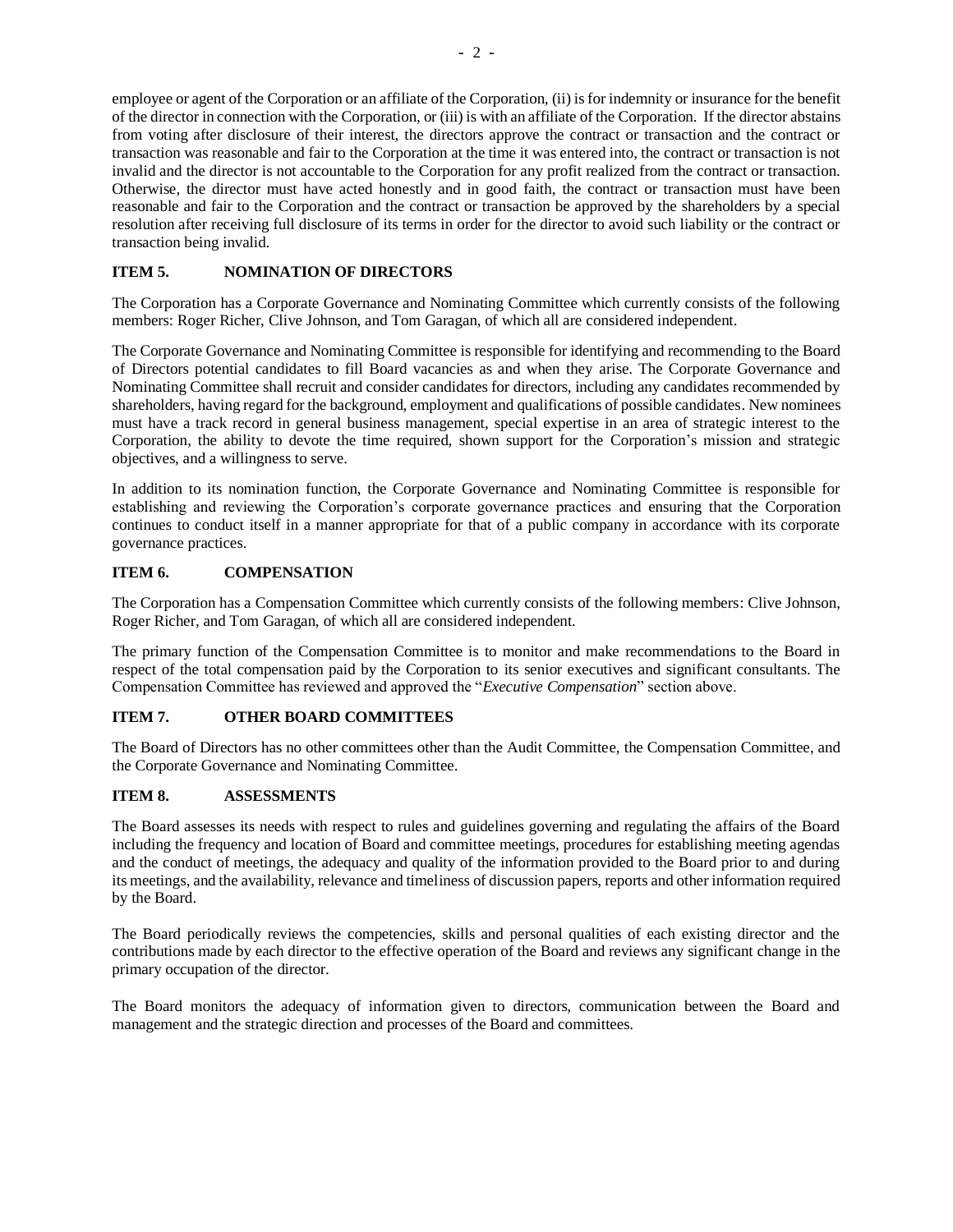employee or agent of the Corporation or an affiliate of the Corporation, (ii) is for indemnity or insurance for the benefit of the director in connection with the Corporation, or (iii) is with an affiliate of the Corporation. If the director abstains from voting after disclosure of their interest, the directors approve the contract or transaction and the contract or transaction was reasonable and fair to the Corporation at the time it was entered into, the contract or transaction is not invalid and the director is not accountable to the Corporation for any profit realized from the contract or transaction. Otherwise, the director must have acted honestly and in good faith, the contract or transaction must have been reasonable and fair to the Corporation and the contract or transaction be approved by the shareholders by a special resolution after receiving full disclosure of its terms in order for the director to avoid such liability or the contract or transaction being invalid.

## **ITEM 5. NOMINATION OF DIRECTORS**

The Corporation has a Corporate Governance and Nominating Committee which currently consists of the following members: Roger Richer, Clive Johnson, and Tom Garagan, of which all are considered independent.

The Corporate Governance and Nominating Committee is responsible for identifying and recommending to the Board of Directors potential candidates to fill Board vacancies as and when they arise. The Corporate Governance and Nominating Committee shall recruit and consider candidates for directors, including any candidates recommended by shareholders, having regard for the background, employment and qualifications of possible candidates. New nominees must have a track record in general business management, special expertise in an area of strategic interest to the Corporation, the ability to devote the time required, shown support for the Corporation's mission and strategic objectives, and a willingness to serve.

In addition to its nomination function, the Corporate Governance and Nominating Committee is responsible for establishing and reviewing the Corporation's corporate governance practices and ensuring that the Corporation continues to conduct itself in a manner appropriate for that of a public company in accordance with its corporate governance practices.

## **ITEM 6. COMPENSATION**

The Corporation has a Compensation Committee which currently consists of the following members: Clive Johnson, Roger Richer, and Tom Garagan, of which all are considered independent.

The primary function of the Compensation Committee is to monitor and make recommendations to the Board in respect of the total compensation paid by the Corporation to its senior executives and significant consultants. The Compensation Committee has reviewed and approved the "*Executive Compensation*" section above.

## **ITEM 7. OTHER BOARD COMMITTEES**

The Board of Directors has no other committees other than the Audit Committee, the Compensation Committee, and the Corporate Governance and Nominating Committee.

## **ITEM 8. ASSESSMENTS**

The Board assesses its needs with respect to rules and guidelines governing and regulating the affairs of the Board including the frequency and location of Board and committee meetings, procedures for establishing meeting agendas and the conduct of meetings, the adequacy and quality of the information provided to the Board prior to and during its meetings, and the availability, relevance and timeliness of discussion papers, reports and other information required by the Board.

The Board periodically reviews the competencies, skills and personal qualities of each existing director and the contributions made by each director to the effective operation of the Board and reviews any significant change in the primary occupation of the director.

The Board monitors the adequacy of information given to directors, communication between the Board and management and the strategic direction and processes of the Board and committees.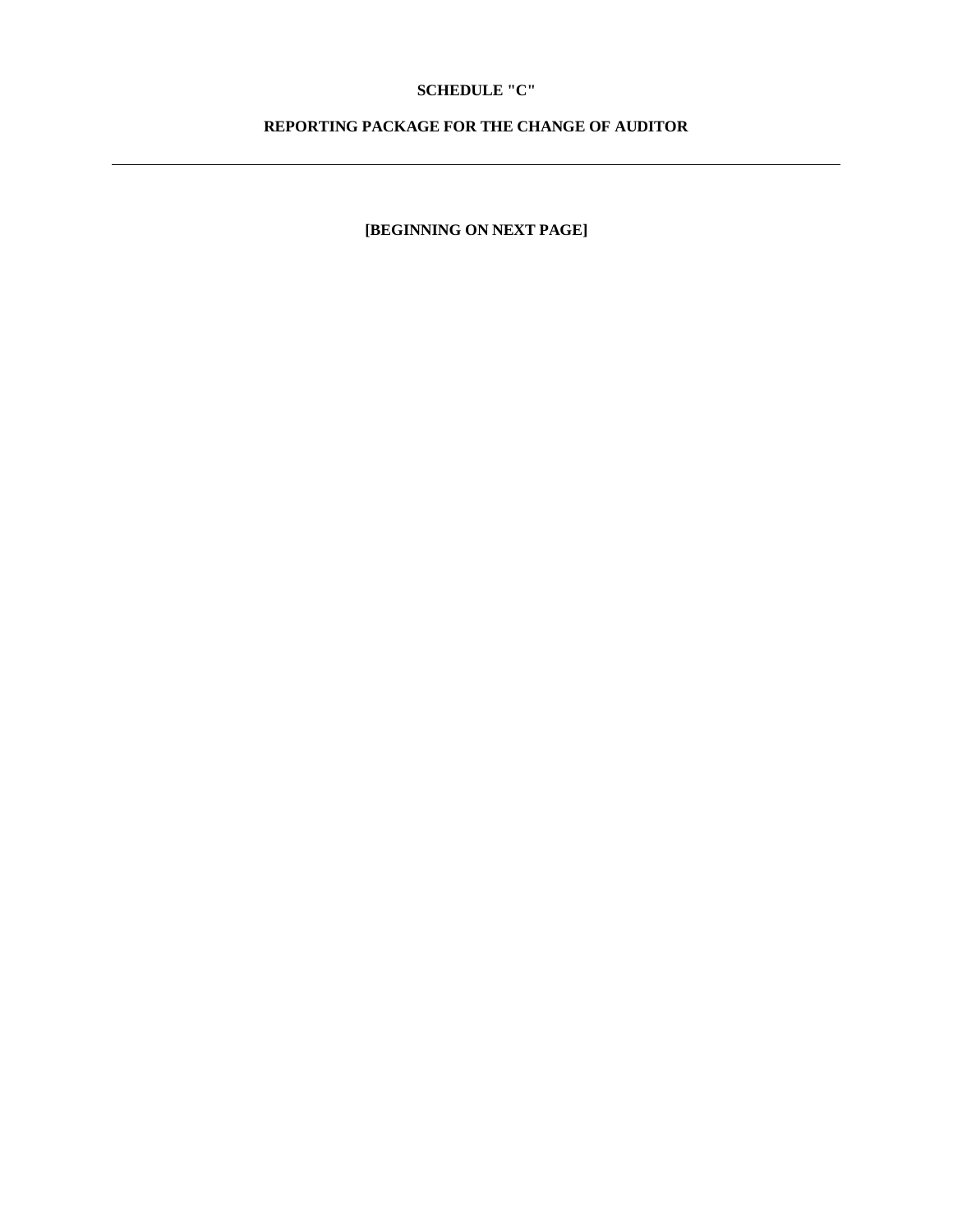## **SCHEDULE "C"**

## **REPORTING PACKAGE FOR THE CHANGE OF AUDITOR**

**[BEGINNING ON NEXT PAGE]**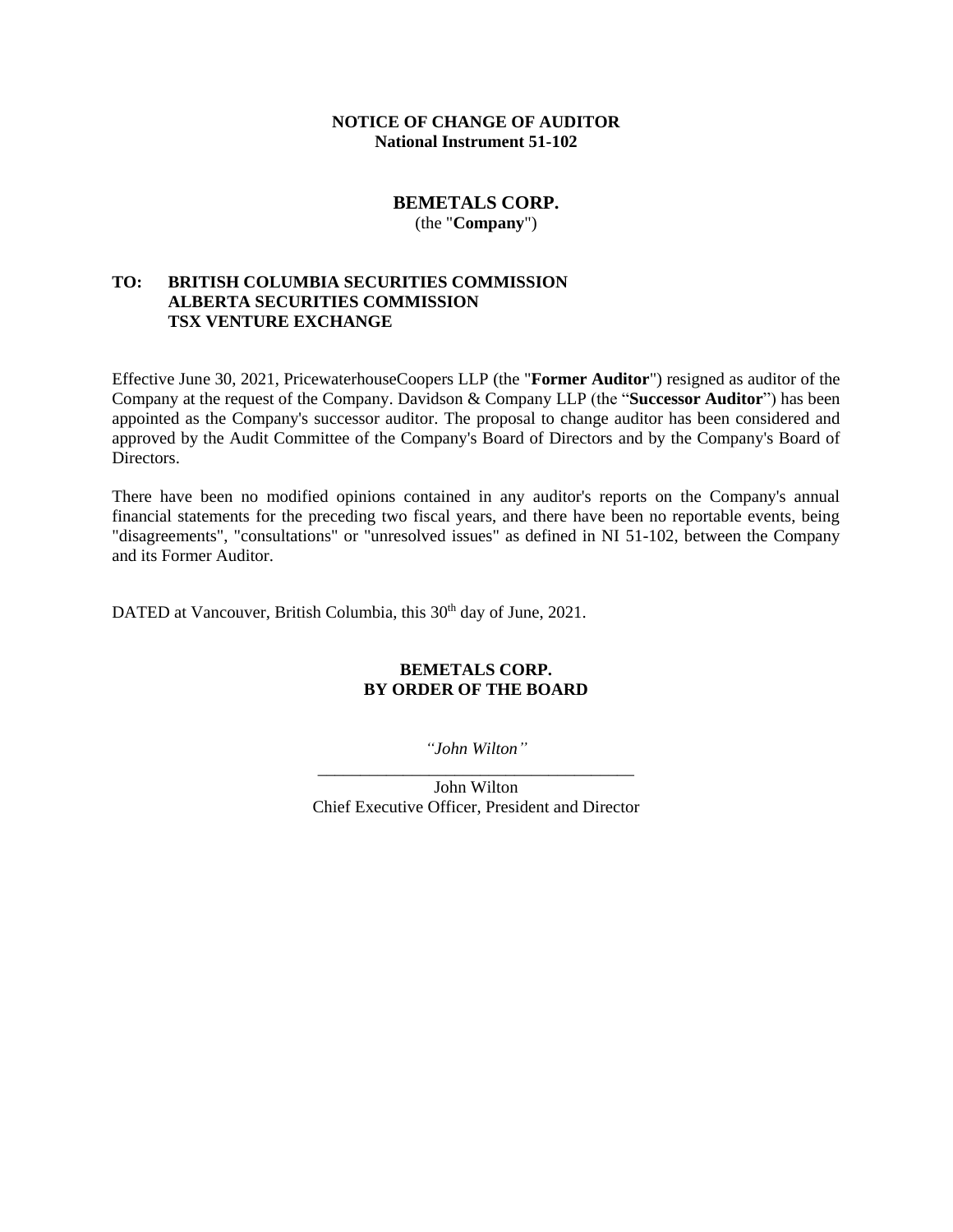## **NOTICE OF CHANGE OF AUDITOR National Instrument 51-102**

## **BEMETALS CORP.** (the "**Company**")

## **TO: BRITISH COLUMBIA SECURITIES COMMISSION ALBERTA SECURITIES COMMISSION TSX VENTURE EXCHANGE**

Effective June 30, 2021, PricewaterhouseCoopers LLP (the "**Former Auditor**") resigned as auditor of the Company at the request of the Company. Davidson & Company LLP (the "**Successor Auditor**") has been appointed as the Company's successor auditor. The proposal to change auditor has been considered and approved by the Audit Committee of the Company's Board of Directors and by the Company's Board of Directors.

There have been no modified opinions contained in any auditor's reports on the Company's annual financial statements for the preceding two fiscal years, and there have been no reportable events, being "disagreements", "consultations" or "unresolved issues" as defined in NI 51-102, between the Company and its Former Auditor.

DATED at Vancouver, British Columbia, this 30<sup>th</sup> day of June, 2021.

## **BEMETALS CORP. BY ORDER OF THE BOARD**

*"John Wilton"* \_\_\_\_\_\_\_\_\_\_\_\_\_\_\_\_\_\_\_\_\_\_\_\_\_\_\_\_\_\_\_\_\_\_\_\_\_

John Wilton Chief Executive Officer, President and Director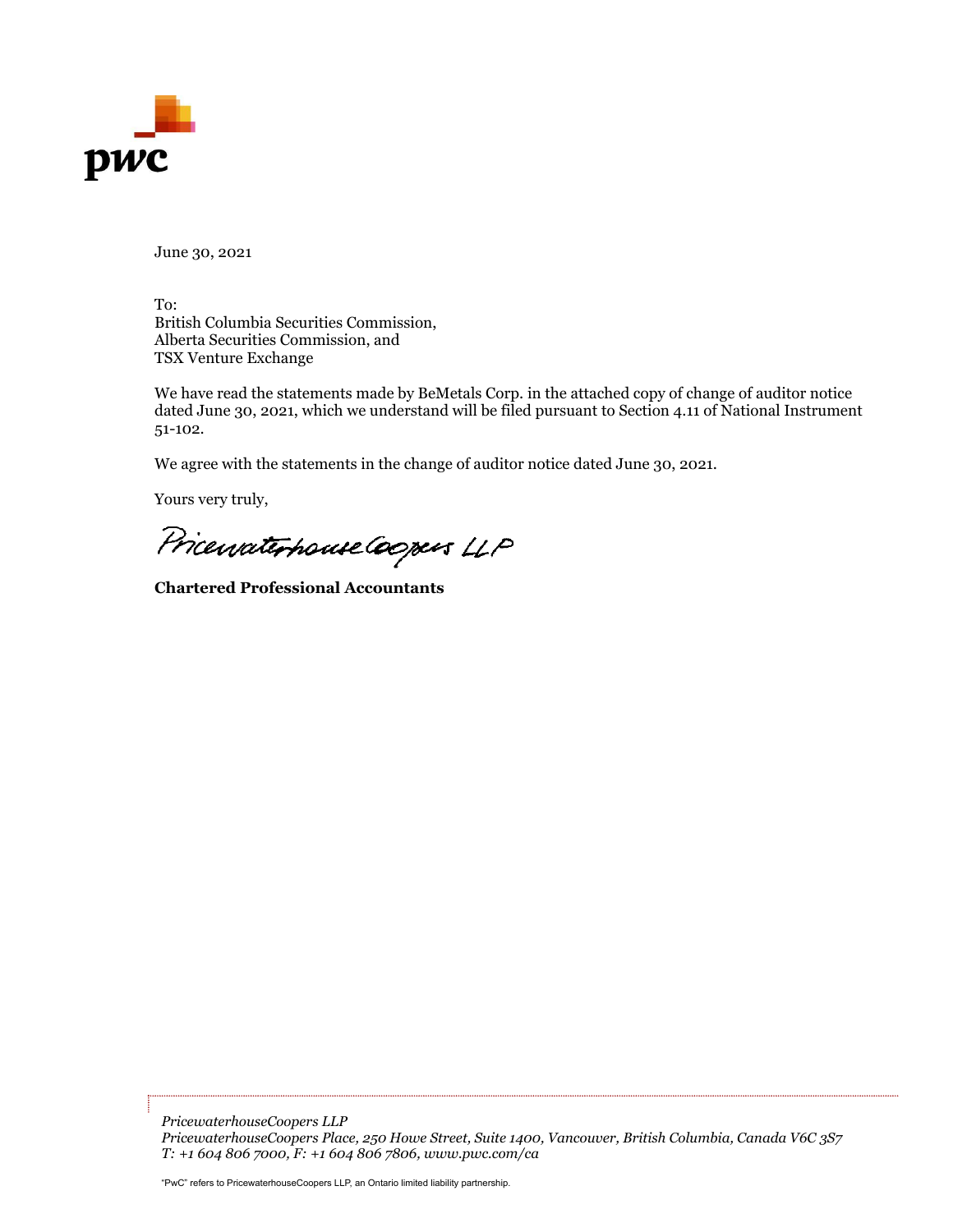

June 30, 2021

To: British Columbia Securities Commission, Alberta Securities Commission, and TSX Venture Exchange

We have read the statements made by BeMetals Corp. in the attached copy of change of auditor notice dated June 30, 2021, which we understand will be filed pursuant to Section 4.11 of National Instrument 51-102.

We agree with the statements in the change of auditor notice dated June 30, 2021.

Yours very truly,

Pricewaterhouse Coopers LLP

**Chartered Professional Accountants**

*PricewaterhouseCoopers LLP PricewaterhouseCoopers Place, 250 Howe Street, Suite 1400, Vancouver, British Columbia, Canada V6C 3S7 T: +1 604 806 7000, F: +1 604 806 7806, www.pwc.com/ca*